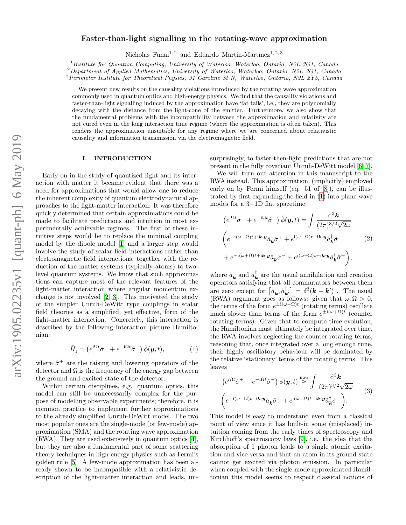# Faster-than-light signalling in the rotating-wave approximation

Nicholas Funai<sup>1,2</sup> and Eduardo Martín-Martínez<sup>1,2,3</sup>

<sup>1</sup> Institute for Quantum Computing, University of Waterloo, Waterloo, Ontario, N2L 3G1, Canada

<sup>2</sup>Department of Applied Mathematics, University of Waterloo, Waterloo, Ontario, N2L 3G1, Canada

<sup>3</sup>Perimeter Institute for Theoretical Physics, 31 Caroline St N, Waterloo, Ontario, N2L 2Y5, Canada

We present new results on the causality violations introduced by the rotating wave approximation commonly used in quantum optics and high-energy physics. We find that the causality violations and faster-than-light signalling induced by the approximation have 'fat tails', i.e., they are polynomially decaying with the distance from the light-cone of the emitter. Furthermore, we also show that the fundamental problems with the incompatibility between the approximation and relativity are not cured even in the long interaction time regime (where the approximation is often taken). This renders the approximation unsuitable for any regime where we are concerned about relativistic causality and information transmission via the electromagnetic field.

# I. INTRODUCTION

Early on in the study of quantized light and its interaction with matter it became evident that there was a need for approximations that would allow one to reduce the inherent complexity of quantum electrodynamical approaches to the light-matter interaction. It was therefore quickly determined that certain approximations could be made to facilitate predictions and intuition in most experimentally achievable regimes. The first of these intuitive steps would be to replace the minimal coupling model by the dipole model [\[1\]](#page-22-0) and a larger step would involve the study of scalar field interactions rather than electromagnetic field interactions, together with the reduction of the matter systems (typically atoms) to twolevel quantum systems. We know that such approximations can capture most of the relevant features of the light-matter interaction where angular momentum exchange is not involved [\[2,](#page-22-1) [3\]](#page-22-2). This motivated the study of the simpler Unruh-DeWitt type couplings in scalar field theories as a simplified, yet effective, form of the light-matter interaction. Concretely, this interaction is described by the following interaction picture Hamiltonian:

$$
\hat{H}_{\rm I} = \left( e^{\mathrm{i}\Omega t} \hat{\sigma}^+ + e^{-\mathrm{i}\Omega t} \hat{\sigma}^- \right) \hat{\phi}(\mathbf{y}, t), \tag{1}
$$

where  $\hat{\sigma}^{\pm}$  are the raising and lowering operators of the detector and  $\Omega$  is the frequency of the energy gap between the ground and excited state of the detector.

Within certain disciplines, e.g. quantum optics, this model can still be unnecessarily complex for the purpose of modelling observable experiments; therefore, it is common practice to implement further approximations to the already simplified Unruh-DeWitt model. The two most popular ones are the single-mode (or few-mode) approximation (SMA) and the rotating wave approximation (RWA). They are used extensively in quantum optics [\[4\]](#page-22-3), but they are also a fundamental part of some scattering theory techniques in high-energy physics such as Fermi's golden rule [\[5\]](#page-22-4). A few-mode approximation has been already shown to be incompatible with a relativistic description of the light-matter interaction and leads, unsurprisingly, to faster-then-light predictions that are not present in the fully covariant Unruh-DeWitt model [\[6,](#page-22-5) [7\]](#page-22-6).

We will turn our attention in this manuscript to the RWA instead. This approximation, (implicitly) employed early on by Fermi himself (eq. 51 of [\[8\]](#page-22-7)), can be illustrated by first expanding the field in [\(1\)](#page-0-0) into plane wave modes for a 3+1D flat spacetime:

<span id="page-0-2"></span>
$$
(e^{i\Omega t}\hat{\sigma}^+ + e^{-i\Omega t}\hat{\sigma}^-)\hat{\phi}(\mathbf{y}, t) = \int \frac{\mathrm{d}^3 \mathbf{k}}{(2\pi)^{3/2}\sqrt{2\omega}}
$$
  

$$
\left(e^{-i(\omega-\Omega)t + i\mathbf{k}\cdot\mathbf{y}}\hat{a}_{\mathbf{k}}\hat{\sigma}^+ + e^{i(\omega-\Omega)t - i\mathbf{k}\cdot\mathbf{y}}\hat{a}_{\mathbf{k}}^\dagger\hat{\sigma}^- - 2\right)
$$

$$
+ e^{-i(\omega+\Omega)t + i\mathbf{k}\cdot\mathbf{y}}\hat{a}_{\mathbf{k}}\hat{\sigma}^- + e^{i(\omega+\Omega)t - i\mathbf{k}\cdot\mathbf{y}}\hat{a}_{\mathbf{k}}^\dagger\hat{\sigma}^+\right),
$$
 (2)

where  $\hat{a}_{\mathbf{k}}$  and  $\hat{a}_{\mathbf{k}}^{\dagger}$  are the usual annihilation and creation operators satisfying that all commutators between them are zero except for  $\left[\hat{a}_{\mathbf{k}}, \hat{a}_{\mathbf{k'}}^{\dagger}\right] = \delta^3(\mathbf{k} - \mathbf{k'})$ . The usual (RWA) argument goes as follows: given that  $\omega, \Omega > 0$ , the terms of the form  $e^{\pm i(\omega-\Omega)t}$  (rotating terms) oscillate much slower than terms of the form  $e^{\pm i(\omega+\Omega)t}$  (counter rotating terms). Given that to compute time evolution, the Hamiltonian must ultimately be integrated over time, the RWA involves neglecting the counter rotating terms, reasoning that, once integrated over a long enough time, their highly oscillatory behaviour will be dominated by the relative 'stationary' terms of the rotating terms. This leaves

<span id="page-0-1"></span><span id="page-0-0"></span>
$$
\left(e^{\mathrm{i}\Omega t}\hat{\sigma}^+ + e^{-\mathrm{i}\Omega t}\hat{\sigma}^-\right)\hat{\phi}(\mathbf{y},t) \stackrel{\text{RWA}}{\approx} \int \frac{\mathrm{d}^3 \mathbf{k}}{(2\pi)^{3/2}\sqrt{2\omega}} \qquad (3)
$$

$$
\left(e^{-\mathrm{i}(\omega-\Omega)t + i\mathbf{k}\cdot\mathbf{y}}\hat{a}_{\mathbf{k}}\hat{\sigma}^+ + e^{\mathrm{i}(\omega-\Omega)t - i\mathbf{k}\cdot\mathbf{y}}\hat{a}_{\mathbf{k}}^\dagger\hat{\sigma}^-\right).
$$

This model is easy to understand even from a classical point of view since it has built-in some (misplaced) intuition coming from the early times of spectroscopy and Kirchhoff's spectroscopy laws [\[9\]](#page-22-8), i.e. the idea that the absorption of 1 photon leads to a single atomic excitation and vice versa and that an atom in its ground state cannot get excited via photon emission. In particular when coupled with the single-mode approximated Hamiltonian this model seems to respect classical notions of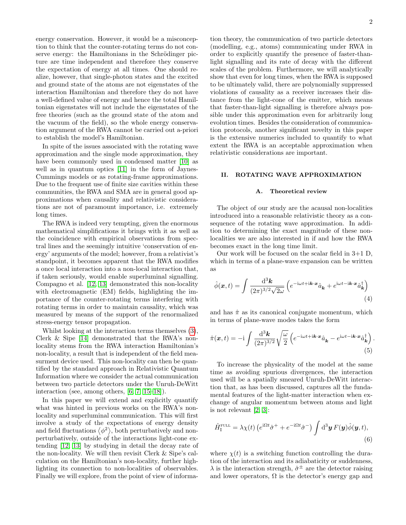energy conservation. However, it would be a misconception to think that the counter-rotating terms do not conserve energy: the Hamiltonians in the Schrödinger picture are time independent and therefore they conserve the expectation of energy at all times. One should realize, however, that single-photon states and the excited and ground state of the atoms are not eigenstates of the interaction Hamiltonian and therefore they do not have a well-defined value of energy and hence the total Hamiltonian eigenstates will not include the eigenstates of the free theories (such as the ground state of the atom and the vacuum of the field), so the whole energy conservation argument of the RWA cannot be carried out a-priori to establish the model's Hamiltonian.

In spite of the issues associated with the rotating wave approximation and the single mode approximation, they have been commonly used in condensed matter [\[10\]](#page-22-9) as well as in quantum optics [\[11\]](#page-22-10) in the form of Jaynes-Cummings models or as rotating-frame approximations. Due to the frequent use of finite size cavities within these communities, the RWA and SMA are in general good approximations when causality and relativistic considerations are not of paramount importance, i.e. extremely long times.

The RWA is indeed very tempting, given the enormous mathematical simplifications it brings with it as well as the coincidence with empirical observations from spectral lines and the seemingly intuitive 'conservation of energy' arguments of the model; however, from a relativist's standpoint, it becomes apparent that the RWA modifies a once local interaction into a non-local interaction that, if taken seriously, would enable superluminal signalling. Compagno et al. [\[12,](#page-22-11) [13\]](#page-22-12) demonstrated this non-locality with electromagnetic (EM) fields, highlighting the importance of the counter-rotating terms interfering with rotating terms in order to maintain causality, which was measured by means of the support of the renormalized stress-energy tensor propagation.

Whilst looking at the interaction terms themselves [\(3\)](#page-0-1), Clerk & Sipe [\[14\]](#page-22-13) demonstrated that the RWA's nonlocality stems from the RWA interaction Hamiltonian's non-locality, a result that is independent of the field measurment device used. This non-locality can then be quantified by the standard approach in Relativistic Quantum Information where we consider the actual communication between two particle detectors under the Unruh-DeWitt interaction (see, among others, [\[6,](#page-22-5) [7,](#page-22-6) [15–](#page-22-14)[18\]](#page-22-15)).

In this paper we will extend and explicitly quantify what was hinted in previous works on the RWA's nonlocality and superluminal communication. This will first involve a study of the expectations of energy density and field fluctuations  $\langle \phi^2 \rangle$ , both perturbatively and nonperturbatively, outside of the interactions light-cone extending [\[12,](#page-22-11) [13\]](#page-22-12) by studying in detail the decay rate of the non-locality. We will then revisit Clerk & Sipe's calculation on the Hamiltonian's non-locality, further highlighting its connection to non-localities of observables. Finally we will explore, from the point of view of informa-

tion theory, the communication of two particle detectors (modelling, e.g., atoms) communicating under RWA in order to explicitly quantify the presence of faster-thanlight signalling and its rate of decay with the different scales of the problem. Furthermore, we will analytically show that even for long times, when the RWA is supposed to be ultimately valid, there are polynomially suppressed violations of causality as a receiver increases their distance from the light-cone of the emitter, which means that faster-than-light signalling is therefore always possible under this approximation even for arbitrarily long evolution times. Besides the consideration of communication protocols, another significant novelty in this paper is the extensive numerics included to quantify to what extent the RWA is an acceptable approximation when relativistic considerations are important.

# II. ROTATING WAVE APPROXIMATION

#### <span id="page-1-0"></span>A. Theoretical review

The object of our study are the acausal non-localities introduced into a reasonable relativistic theory as a consequence of the rotating wave approximation. In addition to determining the exact magnitude of these nonlocalities we are also interested in if and how the RWA becomes exact in the long time limit.

Our work will be focused on the scalar field in 3+1 D, which in terms of a plane-wave expansion can be written as

$$
\hat{\phi}(\boldsymbol{x},t) = \int \frac{\mathrm{d}^3 \boldsymbol{k}}{(2\pi)^{3/2}\sqrt{2\omega}} \left( e^{-i\omega t + i\boldsymbol{k}\cdot\boldsymbol{x}} \hat{a}_{\boldsymbol{k}} + e^{i\omega t - i\boldsymbol{k}\cdot\boldsymbol{x}} \hat{a}_{\boldsymbol{k}}^{\dagger} \right)
$$
\n(4)

and has  $\hat{\pi}$  as its canonical conjugate momentum, which in terms of plane-wave modes takes the form

<span id="page-1-1"></span>
$$
\hat{\pi}(\boldsymbol{x},t) = -\mathrm{i} \int \frac{\mathrm{d}^3 \boldsymbol{k}}{(2\pi)^{3/2}} \sqrt{\frac{\omega}{2}} \left( e^{-\mathrm{i}\omega t + \mathrm{i}\boldsymbol{k}\cdot\boldsymbol{x}} \hat{a}_{\boldsymbol{k}} - e^{\mathrm{i}\omega t - \mathrm{i}\boldsymbol{k}\cdot\boldsymbol{x}} \hat{a}_{\boldsymbol{k}}^{\dagger} \right). \tag{5}
$$

To increase the physicality of the model at the same time as avoiding spurious divergences, the interaction used will be a spatially smeared Unruh-DeWitt interaction that, as has been discussed, captures all the fundamental features of the light-matter interaction when exchange of angular momentum between atoms and light is not relevant [\[2,](#page-22-1) [3\]](#page-22-2):

$$
\hat{H}_{\rm I}^{\rm FUL} = \lambda \chi(t) \left( e^{\mathrm{i}\Omega t} \hat{\sigma}^+ + e^{-\mathrm{i}\Omega t} \hat{\sigma}^- \right) \int \mathrm{d}^3 \mathbf{y} \, F(\mathbf{y}) \hat{\phi}(\mathbf{y}, t), \tag{6}
$$

where  $\chi(t)$  is a switching function controlling the duration of the interaction and its adiabaticity or suddenness,  $\lambda$  is the interaction strength,  $\hat{\sigma}^{\pm}$  are the detector raising and lower operators,  $\Omega$  is the detector's energy gap and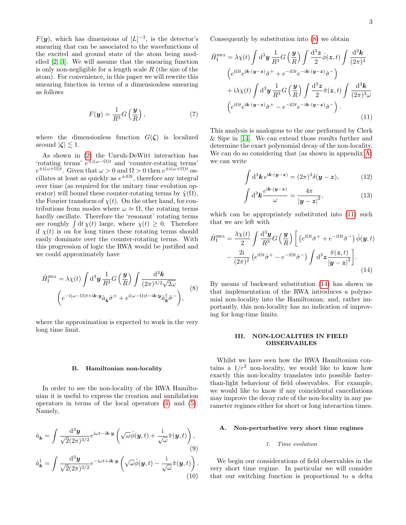$F(\mathbf{y})$ , which has dimensions of  $[L]^{-3}$ , is the detector's smearing that can be associated to the wavefunctions of the excited and ground state of the atom being modelled [\[2,](#page-22-1) [3\]](#page-22-2). We will assume that the smearing function is only non-negligible for a length scale  $R$  (the size of the atom). For convenience, in this paper we will rewrite this smearing function in terms of a dimensionless smearing as follows

$$
F(y) = \frac{1}{R^3} G\left(\frac{y}{R}\right),\tag{7}
$$

where the dimensionless function  $G(\zeta)$  is localized around  $|\zeta| \lesssim 1$ .

As shown in [\(2\)](#page-0-2) the Unruh-DeWitt interaction has 'rotating terms'  $e^{\pm i(\omega-\Omega)t}$  and 'counter-rotating terms'  $e^{\pm i(\omega+\Omega)t}$ . Given that  $\omega > 0$  and  $\Omega > 0$  then  $e^{\pm i(\omega+\Omega)t}$  oscillates at least as quickly as  $e^{\pm i\Omega t}$ , therefore any integral over time (as required for the unitary time evolution operator) will bound these counter-rotating terms by  $\tilde{\chi}(\Omega)$ , the Fourier transform of  $\chi(t)$ . On the other hand, for contributions from modes where  $\omega \approx \Omega$ , the rotating terms hardly oscillate. Therefore the 'resonant' rotating terms are roughly  $\int dt \chi(t)$  large, where  $\chi(t) \geq 0$ . Therefore if  $\chi(t)$  is on for long times these rotating terms should easily dominate over the counter-rotating terms. With this progression of logic the RWA would be justified and we could approximately have

$$
\hat{H}_{\rm I}^{\rm RWA} = \lambda \chi(t) \int \mathrm{d}^3 \mathbf{y} \, \frac{1}{R^3} G\left(\frac{\mathbf{y}}{R}\right) \int \frac{\mathrm{d}^3 \mathbf{k}}{(2\pi)^{3/2} \sqrt{2\omega}} \left(e^{-i(\omega - \Omega)t + i\mathbf{k} \cdot \mathbf{y}} \hat{a}_{\mathbf{k}} \hat{\sigma}^+ + e^{i(\omega - \Omega)t - i\mathbf{k} \cdot \mathbf{y}} \hat{a}_{\mathbf{k}}^\dagger \hat{\sigma}^- \right), \tag{8}
$$

where the approximation is expected to work in the very long time limit.

#### <span id="page-2-4"></span>B. Hamiltonian non-locality

In order to see the non-locality of the RWA Hamiltonian it is useful to express the creation and annihilation operators in terms of the local operators [\(4\)](#page-1-0) and [\(5\)](#page-1-1). Namely,

$$
\hat{a}_{\mathbf{k}} = \int \frac{d^3 \mathbf{y}}{\sqrt{2}(2\pi)^{3/2}} e^{i\omega t - i\mathbf{k} \cdot \mathbf{y}} \left( \sqrt{\omega} \hat{\phi}(\mathbf{y}, t) + \frac{i}{\sqrt{\omega}} \hat{\pi}(\mathbf{y}, t) \right),
$$
\n(9)\n
$$
\hat{a}_{\mathbf{k}}^{\dagger} = \int \frac{d^3 \mathbf{y}}{\sqrt{2}(2\pi)^{3/2}} e^{-i\omega t + i\mathbf{k} \cdot \mathbf{y}} \left( \sqrt{\omega} \hat{\phi}(\mathbf{y}, t) - \frac{i}{\sqrt{\omega}} \hat{\pi}(\mathbf{y}, t) \right).
$$
\n(10)

Consequently by substitution into [\(8\)](#page-2-0) we obtain

$$
\hat{H}_{\rm I}^{\rm RWA} = \lambda \chi(t) \int \mathrm{d}^3 y \, \frac{1}{R^3} G\left(\frac{y}{R}\right) \int \frac{\mathrm{d}^3 z}{2} \hat{\phi}(z, t) \int \frac{\mathrm{d}^3 k}{(2\pi)^3} \n\left(e^{\mathrm{i}\Omega t} e^{\mathrm{i} \mathbf{k} \cdot (\mathbf{y} - \mathbf{z})} \hat{\sigma}^+ + e^{-\mathrm{i}\Omega t} e^{-\mathrm{i} \mathbf{k} \cdot (\mathbf{y} - \mathbf{z})} \hat{\sigma}^-\right) \n+ \mathrm{i} \lambda \chi(t) \int \mathrm{d}^3 y \, \frac{1}{R^3} G\left(\frac{y}{R}\right) \int \frac{\mathrm{d}^3 z}{2} \hat{\pi}(z, t) \int \frac{\mathrm{d}^3 k}{(2\pi)^3 \omega} \n\left(e^{\mathrm{i}\Omega t} e^{\mathrm{i} \mathbf{k} \cdot (\mathbf{y} - \mathbf{z})} \hat{\sigma}^+ - e^{-\mathrm{i}\Omega t} e^{-\mathrm{i} \mathbf{k} \cdot (\mathbf{y} - \mathbf{z})} \hat{\sigma}^-\right).
$$
\n(11)

This analysis is analogous to the one performed by Clerk & Sipe in [\[14\]](#page-22-13). We can extend those results further and determine the exact polynomial decay of the non-locality. We can do so considering that (as shown in appendix [A\)](#page-12-0) we can write

<span id="page-2-5"></span><span id="page-2-1"></span>
$$
\int d^3 \mathbf{k} e^{i \mathbf{k} \cdot (\mathbf{y} - \mathbf{z})} = (2\pi)^3 \delta(\mathbf{y} - \mathbf{z}), \tag{12}
$$

<span id="page-2-6"></span><span id="page-2-2"></span>
$$
\int d^3 \mathbf{k} \frac{e^{i\mathbf{k} \cdot (\mathbf{y} - \mathbf{z})}}{\omega} = \frac{4\pi}{|\mathbf{y} - \mathbf{z}|^2},\tag{13}
$$

which can be appropriately substituted into [\(11\)](#page-2-1) such that we are left with

$$
\hat{H}_{\rm I}^{\rm RWA} = \frac{\lambda \chi(t)}{2} \int \frac{\mathrm{d}^3 \mathbf{y}}{R^3} G\left(\frac{\mathbf{y}}{R}\right) \left[ \left( e^{\mathrm{i}\Omega t} \hat{\sigma}^+ + e^{-\mathrm{i}\Omega t} \hat{\sigma}^- \right) \hat{\phi}(\mathbf{y}, t) \right. \\
\left. - \frac{2\mathrm{i}}{(2\pi)^2} \left( e^{\mathrm{i}\Omega t} \hat{\sigma}^+ - e^{-\mathrm{i}\Omega t} \hat{\sigma}^- \right) \int \mathrm{d}^3 z \frac{\hat{\pi}(z, t)}{|\mathbf{y} - z|^2} \right].\n\tag{14}
$$

<span id="page-2-0"></span>By means of backward substitution [\(14\)](#page-2-2) has shown us that implementation of the RWA introduces a polynomial non-locality into the Hamiltonian; and, rather importantly, this non-locality has no indication of improving for long-time limits.

## III. NON-LOCALITIES IN FIELD OBSERVABLES

Whilst we have seen how the RWA Hamiltonian contains a  $1/r^2$  non-locality, we would like to know how exactly this non-locality translates into possible fasterthan-light behaviour of field observables. For example, we would like to know if any coincidental cancellations may improve the decay rate of the non-locality in any parameter regimes either for short or long interaction times.

### <span id="page-2-3"></span>A. Non-perturbative very short time regimes

### 1. Time evolution

We begin our considerations of field observables in the very short time regime. In particular we will consider that our switching function is proportional to a delta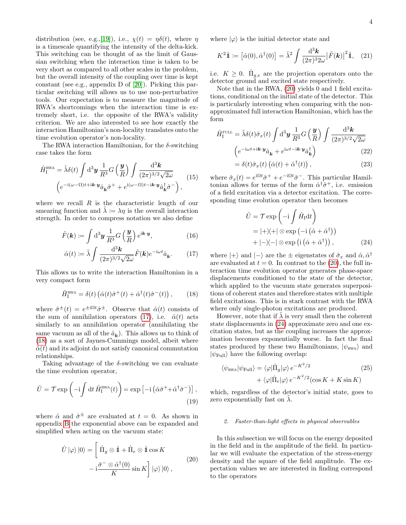distribution (see, e.g.,[\[19\]](#page-22-16)), i.e.,  $\chi(t) = \eta \delta(t)$ , where  $\eta$ is a timescale quantifying the intensity of the delta-kick. This switching can be thought of as the limit of Gaussian switching when the interaction time is taken to be very short as compared to all other scales in the problem, but the overall intensity of the coupling over time is kept constant (see e.g., appendix D of [\[20\]](#page-22-17)). Picking this particular switching will allows us to use non-perturbative tools. Our expectation is to measure the magnitude of RWA's shortcomings when the interaction time is extremely short, i.e. the opposite of the RWA's validity criterion. We are also interested to see how exactly the interaction Hamiltonian's non-locality translates onto the time evolution operator's non-locality.

The RWA interaction Hamiltonian, for the  $\delta$ -switching case takes the form

$$
\hat{H}_{\rm I}^{\rm RWA} = \tilde{\lambda}\delta(t) \int \mathrm{d}^3 \mathbf{y} \, \frac{1}{R^3} G\left(\frac{\mathbf{y}}{R}\right) \int \frac{\mathrm{d}^3 \mathbf{k}}{(2\pi)^{3/2} \sqrt{2\omega}} \qquad (15)
$$
\n
$$
\left(e^{-\mathrm{i}(\omega-\Omega)t + \mathrm{i}\mathbf{k}\cdot\mathbf{y}} \hat{a}_{\mathbf{k}} \hat{\sigma}^+ + e^{\mathrm{i}(\omega-\Omega)t - \mathrm{i}\mathbf{k}\cdot\mathbf{y}} \hat{a}_{\mathbf{k}}^\dagger \hat{\sigma}^- \right),
$$

where we recall  $R$  is the characteristic length of our smearing function and  $\lambda \coloneqq \lambda \eta$  is the overall interaction strength. In order to compress notation we also define

$$
\tilde{F}(\mathbf{k}) \coloneqq \int \mathrm{d}^3 \mathbf{y} \, \frac{1}{R^3} G\left(\frac{\mathbf{y}}{R}\right) e^{\mathrm{i} \mathbf{k} \cdot \mathbf{y}},\tag{16}
$$

$$
\hat{\alpha}(t) := \tilde{\lambda} \int \frac{\mathrm{d}^3 \mathbf{k}}{(2\pi)^{3/2} \sqrt{2\omega}} \tilde{F}(\mathbf{k}) e^{-i\omega t} \hat{a}_{\mathbf{k}}.
$$
 (17)

This allows us to write the interaction Hamiltonian in a very compact form

$$
\hat{H}_{\rm I}^{\rm RWA} = \delta(t) \left( \hat{\alpha}(t) \hat{\sigma}^+(t) + \hat{\alpha}^\dagger(t) \hat{\sigma}^-(t) \right), \qquad (18)
$$

where  $\hat{\sigma}^{\pm}(t) = e^{\pm i\Omega t} \hat{\sigma}^{\pm}$ . Observe that  $\hat{\alpha}(t)$  consists of the sum of annihilation operators [\(17\)](#page-3-0), i.e.  $\hat{\alpha}(t)$  acts similarly to an annihilation operator (annihilating the same vacuum as all of the  $\hat{a}_{\bf k}$ ). This allows us to think of [\(18\)](#page-3-1) as a sort of Jaynes-Cummings model, albeit where  $\hat{\alpha}(t)$  and its adjoint do not satisfy canonical commutation relationships.

Taking advantage of the  $\delta$ -switching we can evaluate the time evolution operator,

$$
\hat{U} = \mathcal{T} \exp\left(-i \int dt \, \hat{H}_{\rm I}^{\rm RWA}(t)\right) = \exp\left[-i \left(\hat{\alpha}\hat{\sigma}^+ + \hat{\alpha}^\dagger\hat{\sigma}^-\right)\right],\tag{19}
$$

where  $\hat{\alpha}$  and  $\hat{\sigma}^{\pm}$  are evaluated at  $t = 0$ . As shown in appendix [B](#page-12-1) the exponential above can be expanded and simplified when acting on the vacuum state:

$$
\hat{U}|\varphi\rangle|0\rangle = \left[\begin{aligned}\n\hat{\Pi}_g \otimes \hat{\mathbb{1}} + \hat{\Pi}_e \otimes \hat{\mathbb{1}}\cos K \\
-\mathrm{i}\frac{\hat{\sigma}^- \otimes \hat{\alpha}^\dagger(0)}{K}\sin K\n\end{aligned}\right]|\varphi\rangle|0\rangle, \tag{20}
$$

where  $|\varphi\rangle$  is the initial detector state and

$$
K^2\hat{\mathbb{1}} \coloneqq \left[\hat{\alpha}(0), \hat{\alpha}^\dagger(0)\right] = \tilde{\lambda}^2 \int \frac{\mathrm{d}^3 \mathbf{k}}{(2\pi)^3 2\omega} \left|\tilde{F}(\mathbf{k})\right|^2 \hat{\mathbb{1}}, \quad (21)
$$

i.e.  $K \geq 0$ .  $\hat{\Pi}_{g,e}$  are the projection operators onto the detector ground and excited state respectively.

Note that in the RWA, [\(20\)](#page-3-2) yields 0 and 1 field excitations, conditional on the initial state of the detector. This is particularly interesting when comparing with the nonapproximated full interaction Hamiltonian, which has the form

$$
\hat{H}_{\rm I}^{\rm FUL} = \tilde{\lambda} \delta(t) \hat{\sigma}_x(t) \int \mathrm{d}^3 \mathbf{y} \, \frac{1}{R^3} G\left(\frac{\mathbf{y}}{R}\right) \int \frac{\mathrm{d}^3 \mathbf{k}}{(2\pi)^{3/2} \sqrt{2\omega}} \n\left(e^{-i\omega t + i\mathbf{k} \cdot \mathbf{y}} \hat{a}_{\mathbf{k}} + e^{i\omega t - i\mathbf{k} \cdot \mathbf{y}} \hat{a}_{\mathbf{k}}^{\dagger}\right)
$$
\n(22)

<span id="page-3-4"></span>
$$
= \delta(t)\hat{\sigma}_x(t) \left( \hat{\alpha}(t) + \hat{\alpha}^\dagger(t) \right), \tag{23}
$$

where  $\hat{\sigma}_x(t) = e^{i\Omega t} \hat{\sigma}^+ + e^{-i\Omega t} \hat{\sigma}^-$ . This particular Hamiltonian allows for terms of the form  $\hat{\alpha}^{\dagger} \hat{\sigma}^+$ , i.e. emission of a field excitation via a detector excitation. The corresponding time evolution operator then becomes

<span id="page-3-3"></span>
$$
\hat{U} = \mathcal{T} \exp\left(-i \int \hat{H}_I dt\right)
$$
  
=  $|+\rangle\langle+| \otimes \exp(-i (\hat{\alpha} + \hat{\alpha}^{\dagger}))$   
+  $|-\rangle\langle-| \otimes \exp(i (\hat{\alpha} + \hat{\alpha}^{\dagger})),$  (24)

<span id="page-3-5"></span><span id="page-3-0"></span>where  $|+\rangle$  and  $|-\rangle$  are the  $\pm$  eigenstates of  $\hat{\sigma}_x$  and  $\hat{\alpha}, \hat{\alpha}^{\dagger}$ are evaluated at  $t = 0$ . In contrast to the [\(20\)](#page-3-2), the full interaction time evolution operator generates phase-space displacements conditioned to the state of the detector, which applied to the vacuum state generates superpositions of coherent states and therefore states with multiple field excitations. This is in stark contrast with the RWA where only single-photon excitations are produced.

<span id="page-3-1"></span>However, note that if  $\lambda$  is very small then the coherent state displacements in [\(24\)](#page-3-3) approximate zero and one excitation states, but as the coupling increases the approximation becomes exponentially worse. In fact the final states produced by these two Hamiltonians,  $|\psi_{\text{RWA}}\rangle$  and  $|\psi_{\text{Full}}\rangle$  have the following overlap:

$$
\langle \psi_{\text{RWA}} | \psi_{\text{Full}} \rangle = \langle \varphi | \hat{\Pi}_g | \varphi \rangle e^{-K^2/2} + \langle \varphi | \hat{\Pi}_e | \varphi \rangle e^{-K^2/2} (\cos K + K \sin K)
$$
\n(25)

which, regardless of the detector's initial state, goes to zero exponentially fast on  $\lambda$ .

### 2. Faster-than-light effects in physical observables

<span id="page-3-2"></span>In this subsection we will focus on the energy deposited in the field and in the amplitude of the field. In particular we will evaluate the expectation of the stress-energy density and the square of the field amplitude. The expectation values we are interested in finding correspond to the operators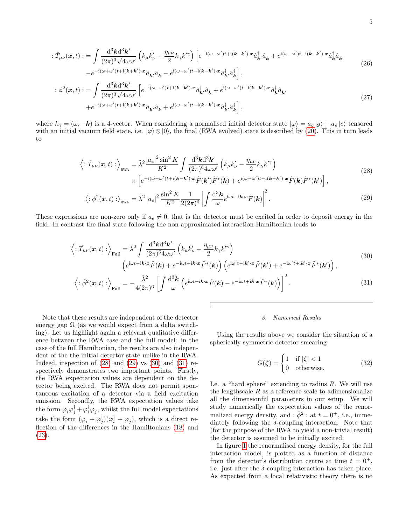$$
\begin{split}\n\therefore \hat{T}_{\mu\nu}(\boldsymbol{x},t) &:= \int \frac{\mathrm{d}^3 \boldsymbol{k} \mathrm{d}^3 \boldsymbol{k}'}{(2\pi)^3 \sqrt{4\omega \omega'}} \left( k_{\mu} k_{\nu}^{\prime} - \frac{\eta_{\mu\nu}}{2} k_{\gamma} k^{\prime \gamma} \right) \left[ e^{-i(\omega - \omega^{\prime})t + i(\boldsymbol{k} - \boldsymbol{k}^{\prime}) \cdot \boldsymbol{x}} \hat{a}_{\boldsymbol{k}}^{\dagger} \hat{a}_{\boldsymbol{k}} + e^{i(\omega - \omega^{\prime})t - i(\boldsymbol{k} - \boldsymbol{k}^{\prime}) \cdot \boldsymbol{x}} \hat{a}_{\boldsymbol{k}}^{\dagger} \hat{a}_{\boldsymbol{k}^{\prime}} \right] \\
&- e^{-i(\omega + \omega^{\prime})t + i(\boldsymbol{k} + \boldsymbol{k}^{\prime}) \cdot \boldsymbol{x}} \hat{a}_{\boldsymbol{k}^{\prime}} \hat{a}_{\boldsymbol{k}} - e^{i(\omega - \omega^{\prime})t - i(\boldsymbol{k} - \boldsymbol{k}^{\prime}) \cdot \boldsymbol{x}} \hat{a}_{\boldsymbol{k}^{\prime}}^{\dagger} \hat{a}_{\boldsymbol{k}}^{\dagger} \right], \\
\therefore \phi^2(\boldsymbol{x},t) &:= \int \frac{\mathrm{d}^3 \boldsymbol{k} \mathrm{d}^3 \boldsymbol{k}'}{(2\pi)^3 \sqrt{4\omega \omega'}} \left[ e^{-i(\omega - \omega^{\prime})t + i(\boldsymbol{k} - \boldsymbol{k}^{\prime}) \cdot \boldsymbol{x}} \hat{a}_{\boldsymbol{k}^{\prime}}^{\dagger} \hat{a}_{\boldsymbol{k}} + e^{i(\omega - \omega^{\prime})t - i(\boldsymbol{k} - \boldsymbol{k}^{\prime}) \cdot \boldsymbol{x}} \hat{a}_{\boldsymbol{k}}^{\dagger} \hat{a}_{\boldsymbol{k}^{\prime}} \right], \\
&+ e^{-i(\omega + \omega^{\prime})t + i(\boldsymbol{k} + \boldsymbol{k}^{\prime}) \cdot \boldsymbol{x}} \hat{a}_{\boldsymbol{k}^{\prime}} \hat{a}_{\boldsymbol{k}} + e^{i(\omega - \omega^{\prime})t - i(\boldsymbol{k} - \boldsymbol{k}^{\prime}) \cdot \boldsymbol{x}} \hat{a}_{\boldsymbol{k}^{\prime}}^{\dagger} \hat{a}_{\boldsymbol{k}}^{\dagger} \right],\n\end{split} \tag{27}
$$

where  $k_{\gamma} = (\omega, -k)$  is a 4-vector. When considering a normalised initial detector state  $|\varphi\rangle = a_{g} |g\rangle + a_{e} |e\rangle$  tensored with an initial vacuum field state, i.e.  $|\varphi\rangle \otimes |0\rangle$ , the final (RWA evolved) state is described by [\(20\)](#page-3-2). This in turn leads to

$$
\left\langle : \hat{T}_{\mu\nu}(\boldsymbol{x},t) : \right\rangle_{\text{RWA}} = \tilde{\lambda}^2 \frac{|a_e|^2 \sin^2 K}{K^2} \int \frac{\mathrm{d}^3 \mathbf{k} \mathrm{d}^3 \mathbf{k}'}{(2\pi)^6 4\omega \omega'} \left( k_\mu k'_\nu - \frac{\eta_{\mu\nu}}{2} k_\gamma k'^\gamma \right) \times \left[ e^{-i(\omega - \omega')t + i(\mathbf{k} - \mathbf{k}') \cdot \mathbf{x}} \tilde{F}(\mathbf{k}') \tilde{F}^*(\mathbf{k}) + e^{i(\omega - \omega')t - i(\mathbf{k} - \mathbf{k}') \cdot \mathbf{x}} \tilde{F}(\mathbf{k}) \tilde{F}^*(\mathbf{k}') \right],
$$
\n(28)

$$
\left\langle : \phi^2(\boldsymbol{x}, t) : \right\rangle_{\text{RWA}} = \tilde{\lambda}^2 \left| a_e \right|^2 \frac{\sin^2 K}{K^2} \frac{1}{2(2\pi)^6} \left| \int \frac{\mathrm{d}^3 \boldsymbol{k}}{\omega} e^{i\omega t - i \boldsymbol{k} \cdot \boldsymbol{x}} \tilde{F}(\boldsymbol{k}) \right|^2. \tag{29}
$$

These expressions are non-zero only if  $a_e \neq 0$ , that is the detector must be excited in order to deposit energy in the field. In contrast the final state following the non-approximated interaction Hamiltonian leads to

$$
\left\langle : \hat{T}_{\mu\nu}(\boldsymbol{x},t) : \right\rangle_{\text{Full}} = \tilde{\lambda}^2 \int \frac{\mathrm{d}^3 \mathbf{k} \mathrm{d}^3 \mathbf{k}'}{(2\pi)^6 4\omega \omega'} \left( k_{\mu} k_{\nu}^{\prime} - \frac{\eta_{\mu\nu}}{2} k_{\gamma} k^{\prime \gamma} \right)
$$
\n
$$
\left( e^{i\omega t - i\mathbf{k} \cdot \mathbf{x}} \tilde{F}(\mathbf{k}) + e^{-i\omega t + i\mathbf{k} \cdot \mathbf{x}} \tilde{F}^*(\mathbf{k}) \right) \left( e^{i\omega^{\prime t} - i\mathbf{k}^{\prime} \cdot \mathbf{x}} \tilde{F}(\mathbf{k}^{\prime}) + e^{-i\omega^{\prime t} + i\mathbf{k}^{\prime} \cdot \mathbf{x}} \tilde{F}^*(\mathbf{k}^{\prime}) \right),
$$
\n
$$
\left\langle : \hat{\phi}^2(\mathbf{r},t) : \right\rangle = -\frac{\tilde{\lambda}^2}{\pi} \left[ \int \frac{\mathrm{d}^3 \mathbf{k}}{2\pi} \left( e^{i\omega t - i\mathbf{k} \cdot \mathbf{x}} \tilde{F}(\mathbf{k}) - e^{-i\omega t + i\mathbf{k} \cdot \mathbf{x}} \tilde{F}^*(\mathbf{k}) \right) \right]^2 \tag{31}
$$

$$
\left\langle : \hat{\phi}^2(\boldsymbol{x}, t) : \right\rangle_{\text{Full}} = -\frac{\lambda^2}{4(2\pi)^6} \left[ \int \frac{\mathrm{d}^3 \boldsymbol{k}}{\omega} \left( e^{i\omega t - i\boldsymbol{k} \cdot \boldsymbol{x}} \tilde{F}(\boldsymbol{k}) - e^{-i\omega t + i\boldsymbol{k} \cdot \boldsymbol{x}} \tilde{F}^*(\boldsymbol{k}) \right) \right]^2. \tag{31}
$$

Note that these results are independent of the detector energy gap  $\Omega$  (as we would expect from a delta switching). Let us highlight again a relevant qualitative difference between the RWA case and the full model: in the case of the full Hamiltonian, the results are also independent of the the initial detector state unlike in the RWA. Indeed, inspection of  $(28)$  and  $(29)$  vs  $(30)$  and  $(31)$  respectively demonstrates two important points. Firstly, the RWA expectation values are dependent on the detector being excited. The RWA does not permit spontaneous excitation of a detector via a field excitation emission. Secondly, the RWA expectation values take the form  $\varphi_i \varphi_j^{\dagger} + \varphi_i^{\dagger} \varphi_j$ , whilst the full model expectations take the form  $(\varphi_i + \varphi_j^{\mathsf{T}})(\varphi_i^{\mathsf{T}} + \varphi_j^{\mathsf{T}})$ , which is a direct reflection of the differences in the Hamiltonians [\(18\)](#page-3-1) and [\(23\)](#page-3-4).

#### <span id="page-4-3"></span><span id="page-4-2"></span><span id="page-4-1"></span><span id="page-4-0"></span>3. Numerical Results

Using the results above we consider the situation of a spherically symmetric detector smearing

<span id="page-4-4"></span>
$$
G(\zeta) = \begin{cases} 1 & \text{if } |\zeta| < 1 \\ 0 & \text{otherwise.} \end{cases} \tag{32}
$$

I.e. a "hard sphere" extending to radius  $R$ . We will use the lengthscale  $R$  as a reference scale to adimensionalize all the dimensionful parameters in our setup. We will study numerically the expectation values of the renormalized energy density, and :  $\hat{\phi}^2$  : at  $t = 0^+$ , i.e., immediately following the  $\delta$ -coupling interaction. Note that (for the purpose of the RWA to yield a non-trivial result) the detector is assumed to be initially excited.

In figure [1](#page-5-0) the renormalised energy density, for the full interaction model, is plotted as a function of distance from the detector's distribution centre at time  $t = 0^+,$ i.e. just after the  $\delta$ -coupling interaction has taken place. As expected from a local relativistic theory there is no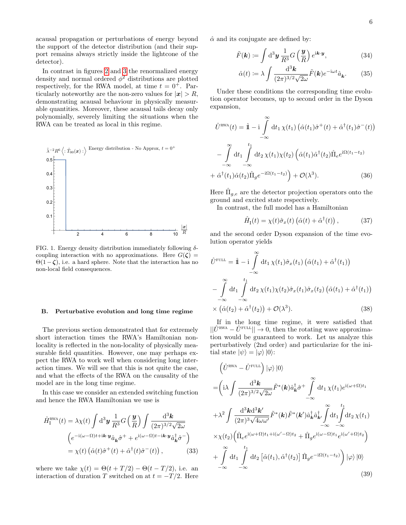acausal propagation or perturbations of energy beyond the support of the detector distribution (and their support remains always strictly inside the lightcone of the detector).

In contrast in figures [2](#page-7-0) and [3](#page-7-1) the renormalized energy density and normal ordered  $\phi^2$  distributions are plotted respectively, for the RWA model, at time  $t = 0^+$ . Particularly noteworthy are the non-zero values for  $|x| > R$ , demonstrating acausal behaviour in physically measurable quantities. Moreover, these acausal tails decay only polynomially, severely limiting the situations when the RWA can be treated as local in this regime.



<span id="page-5-0"></span>FIG. 1. Energy density distribution immediately following  $\delta$ coupling interaction with no approximations. Here  $G(\zeta)$  =  $\Theta(1-\zeta)$ , i.e. a hard sphere. Note that the interaction has no non-local field consequences.

#### B. Perturbative evolution and long time regime

The previous section demonstrated that for extremely short interaction times the RWA's Hamiltonian nonlocality is reflected in the non-locality of physically measurable field quantities. However, one may perhaps expect the RWA to work well when considering long interaction times. We will see that this is not quite the case, and what the effects of the RWA on the causality of the model are in the long time regime.

In this case we consider an extended switching function and hence the RWA Hamiltonian we use is

$$
\hat{H}_{\rm I}^{\rm RWA}(t) = \lambda \chi(t) \int \mathrm{d}^3 \mathbf{y} \, \frac{1}{R^3} G\left(\frac{\mathbf{y}}{R}\right) \int \frac{\mathrm{d}^3 \mathbf{k}}{(2\pi)^{3/2} \sqrt{2\omega}} \n\left(e^{-i(\omega-\Omega)t + i\mathbf{k} \cdot \mathbf{y}} \hat{a}_{\mathbf{k}} \hat{\sigma}^+ + e^{i(\omega-\Omega)t - i\mathbf{k} \cdot \mathbf{y}} \hat{a}_{\mathbf{k}}^\dagger \hat{\sigma}^-\right) \n= \chi(t) \left(\hat{\alpha}(t)\hat{\sigma}^+(t) + \hat{\alpha}^\dagger(t)\hat{\sigma}^-(t)\right),
$$
\n(33)

where we take  $\chi(t) = \Theta(t+T/2) - \Theta(t-T/2)$ , i.e. an interaction of duration T switched on at  $t = -T/2$ . Here  $\hat{\alpha}$  and its conjugate are defined by:

$$
\tilde{F}(\mathbf{k}) := \int \mathrm{d}^3 \mathbf{y} \, \frac{1}{R^3} G\left(\frac{\mathbf{y}}{R}\right) e^{\mathrm{i} \mathbf{k} \cdot \mathbf{y}},\tag{34}
$$

$$
\hat{\alpha}(t) := \lambda \int \frac{\mathrm{d}^3 \mathbf{k}}{(2\pi)^{3/2} \sqrt{2\omega}} \tilde{F}(\mathbf{k}) e^{-i\omega t} \hat{a}_{\mathbf{k}}.\tag{35}
$$

Under these conditions the corresponding time evolution operator becomes, up to second order in the Dyson expansion,

$$
\hat{U}^{\text{RWA}}(t) = \hat{\mathbb{1}} - i \int_{-\infty}^{\infty} dt_1 \,\chi(t_1) \left( \hat{\alpha}(t_1) \hat{\sigma}^+(t) + \hat{\alpha}^\dagger(t_1) \hat{\sigma}^-(t) \right)
$$
\n
$$
- \int_{-\infty}^{\infty} dt_1 \int_{-\infty}^{t_1} dt_2 \,\chi(t_1) \chi(t_2) \left( \hat{\alpha}(t_1) \hat{\alpha}^\dagger(t_2) \hat{\Pi}_e e^{i\Omega(t_1 - t_2)} \right)
$$
\n
$$
+ \hat{\alpha}^\dagger(t_1) \hat{\alpha}(t_2) \hat{\Pi}_g e^{-i\Omega(t_1 - t_2)} \Big) + \mathcal{O}(\lambda^3). \tag{36}
$$

Here  $\hat{\Pi}_{g,e}$  are the detector projection operators onto the ground and excited state respectively.

In contrast, the full model has a Hamiltonian

$$
\hat{H}_{\rm I}(t) = \chi(t)\hat{\sigma}_x(t) \left( \hat{\alpha}(t) + \hat{\alpha}^{\dagger}(t) \right), \tag{37}
$$

and the second order Dyson expansion of the time evolution operator yields

$$
\hat{U}^{\text{FUL}} = \hat{\mathbb{I}} - \mathrm{i} \int_{-\infty}^{\infty} \mathrm{d}t_1 \,\chi(t_1)\hat{\sigma}_x(t_1) \left(\hat{\alpha}(t_1) + \hat{\alpha}^\dagger(t_1)\right) \n- \int_{-\infty}^{\infty} \mathrm{d}t_1 \int_{-\infty}^{t_1} \mathrm{d}t_2 \,\chi(t_1)\chi(t_2)\hat{\sigma}_x(t_1)\hat{\sigma}_x(t_2) \left(\hat{\alpha}(t_1) + \hat{\alpha}^\dagger(t_1)\right) \n\times \left(\hat{\alpha}(t_2) + \hat{\alpha}^\dagger(t_2)\right) + \mathcal{O}(\lambda^3).
$$
\n(38)

If in the long time regime, it were satisfied that  $||\hat{U}^{\text{RWA}} - \hat{U}^{\text{FULL}}|| \rightarrow 0$ , then the rotating wave approximation would be guaranteed to work. Let us analyze this perturbatively (2nd order) and particularize for the initial state  $|\psi\rangle = |\varphi\rangle |0\rangle$ :

<span id="page-5-1"></span>
$$
\begin{split}\n&\left(\hat{U}^{\text{RWA}} - \hat{U}^{\text{FUL}}\right) |\varphi\rangle |0\rangle \\
&= \left(\mathrm{i}\lambda \int \frac{\mathrm{d}^3 \mathbf{k}}{(2\pi)^{3/2} \sqrt{2\omega}} \tilde{F}^*(\mathbf{k}) \hat{a}_{\mathbf{k}}^\dagger \hat{\sigma}^+ \int \limits_{-\infty}^{\infty} \mathrm{d}t_1 \chi(t_1) e^{\mathrm{i}(\omega + \Omega)t_1} \\
&+ \lambda^2 \int \frac{\mathrm{d}^3 \mathbf{k} \mathrm{d}^3 \mathbf{k'}}{(2\pi)^3 \sqrt{4\omega \omega'}} \tilde{F}^*(\mathbf{k}) \tilde{F}^*(\mathbf{k'}) \hat{a}_{\mathbf{k}}^\dagger \hat{a}_{\mathbf{k'}}^\dagger \int \limits_{-\infty}^{\infty} \mathrm{d}t_1 \int \limits_{-\infty}^{t_1} \mathrm{d}t_2 \chi(t_1) \\
&\times \chi(t_2) \left(\hat{\Pi}_e e^{\mathrm{i}(\omega + \Omega)t_1 + \mathrm{i}(\omega' - \Omega)t_2} + \hat{\Pi}_g e^{\mathrm{i}(\omega - \Omega)t_1} e^{\mathrm{i}(\omega' + \Omega)t_2}\right) \\
&+ \int \limits_{-\infty}^{\infty} \mathrm{d}t_1 \int \limits_{-\infty}^{t_1} \mathrm{d}t_2 \left[\hat{\alpha}(t_1), \hat{\alpha}^\dagger(t_2)\right] \hat{\Pi}_g e^{-\mathrm{i}\Omega(t_1 - t_2)}\right) |\varphi\rangle |0\rangle \\
&\quad (39)\n\end{split}
$$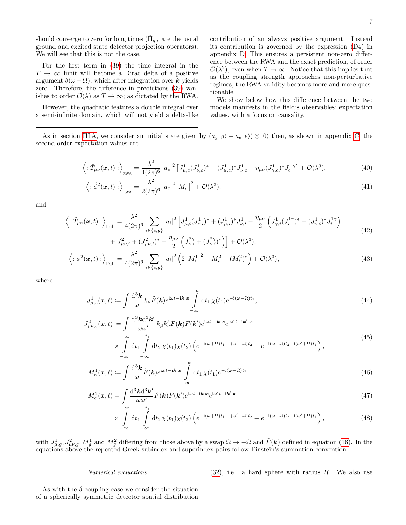should converge to zero for long times  $(\hat{\Pi}_{g,e}$  are the usual ground and excited state detector projection operators). We will see that this is not the case.

For the first term in [\(39\)](#page-5-1) the time integral in the  $T \rightarrow \infty$  limit will become a Dirac delta of a positive argument  $\delta(\omega + \Omega)$ , which after integration over k yields zero. Therefore, the difference in predictions [\(39\)](#page-5-1) vanishes to order  $\mathcal{O}(\lambda)$  as  $T \to \infty$ ; as dictated by the RWA.

However, the quadratic features a double integral over a semi-infinite domain, which will not yield a delta-like contribution of an always positive argument. Instead its contribution is governed by the expression [\(D4\)](#page-18-0) in appendix [D.](#page-17-0) This ensures a persistent non-zero difference between the RWA and the exact prediction, of order  $\mathcal{O}(\lambda^2)$ , even when  $T \to \infty$ . Notice that this implies that as the coupling strength approaches non-perturbative regimes, the RWA validity becomes more and more questionable.

<span id="page-6-2"></span><span id="page-6-1"></span>We show below how this difference between the two models manifests in the field's observables' expectation values, with a focus on causality.

As in section [III A,](#page-2-3) we consider an initial state given by  $(a_q |g\rangle + a_e |e\rangle) \otimes |0\rangle$  then, as shown in appendix [C,](#page-13-0) the second order expectation values are

$$
\left\langle : \hat{T}_{\mu\nu}(\boldsymbol{x},t) : \right\rangle_{\text{RWA}} = \frac{\lambda^2}{4(2\pi)^6} \left| a_e \right|^2 \left[ J_{\mu,e}^1 (J_{\nu,e}^1)^* + (J_{\mu,e}^1)^* J_{\nu,e}^1 - \eta_{\mu\nu} (J_{\gamma,e}^1)^* J_e^1{}^{\gamma} \right] + \mathcal{O}(\lambda^3),\tag{40}
$$

$$
\left\langle : \hat{\phi}^2(\boldsymbol{x}, t) : \right\rangle_{\text{RWA}} = \frac{\lambda^2}{2(2\pi)^6} \left| a_e \right|^2 \left| M_e^1 \right|^2 + \mathcal{O}(\lambda^3), \tag{41}
$$

and

$$
\left\langle : \hat{T}_{\mu\nu}(\boldsymbol{x},t) : \right\rangle_{\text{Full}} = \frac{\lambda^2}{4(2\pi)^6} \sum_{i \in \{e,g\}} |a_i|^2 \left[ J_{\mu,i}^1 (J_{\nu,i}^1)^* + (J_{\mu,i}^1)^* J_{\nu,i}^1 - \frac{\eta_{\mu\nu}}{2} \left( J_{\gamma,i}^1 (J_i^{1\gamma})^* + (J_{\gamma,i}^1)^* J_i^{1\gamma} \right) \right. \\ \left. + J_{\mu\nu,i}^2 + (J_{\mu\nu,i}^2)^* - \frac{\eta_{\mu\nu}}{2} \left( J_{\gamma,i}^{2\gamma} + (J_{\gamma,i}^{2\gamma})^* \right) \right] + \mathcal{O}(\lambda^3), \tag{42}
$$

$$
\left\langle : \hat{\phi}^2(\mathbf{x}, t) : \right\rangle_{\text{Full}} = \frac{\lambda^2}{4(2\pi)^6} \sum_{i \in \{e, g\}} |a_i|^2 \left( 2 \left| M_i^1 \right|^2 - M_i^2 - (M_i^2)^* \right) + \mathcal{O}(\lambda^3), \tag{43}
$$

where

$$
J_{\mu,e}^1(\boldsymbol{x},t) := \int \frac{\mathrm{d}^3 \boldsymbol{k}}{\omega} k_{\mu} \tilde{F}(\boldsymbol{k}) e^{\mathrm{i}\omega t - \mathrm{i}\boldsymbol{k} \cdot \boldsymbol{x}} \int \limits_{-\infty}^{\infty} \mathrm{d}t_1 \, \chi(t_1) e^{-\mathrm{i}(\omega - \Omega)t_1},\tag{44}
$$

$$
J_{\mu\nu,e}^{2}(\boldsymbol{x},t) \coloneqq \int \frac{\mathrm{d}^{3} \mathbf{k} \mathrm{d}^{3} \mathbf{k}'}{\omega \omega'} k_{\mu} k_{\nu}' \tilde{F}(\mathbf{k}) \tilde{F}(\mathbf{k}') e^{i\omega t - i\mathbf{k} \cdot \mathbf{x}} e^{i\omega' t - i\mathbf{k}' \cdot \mathbf{x}} \times \int \limits_{-\infty}^{\infty} \mathrm{d}t_{1} \int \limits_{-\infty}^{t_{1}} \mathrm{d}t_{2} \chi(t_{1}) \chi(t_{2}) \left( e^{-i(\omega + \Omega)t_{1} - i(\omega' - \Omega)t_{2}} + e^{-i(\omega - \Omega)t_{2} - i(\omega' + \Omega)t_{1}} \right),
$$
\n
$$
(45)
$$

$$
M_e^1(\boldsymbol{x},t) \coloneqq \int \frac{\mathrm{d}^3 \boldsymbol{k}}{\omega} \tilde{F}(\boldsymbol{k}) e^{\mathrm{i}\omega t - \mathrm{i}\boldsymbol{k} \cdot \boldsymbol{x}} \int \limits_{-\infty}^{\infty} \mathrm{d}t_1 \, \chi(t_1) e^{-\mathrm{i}(\omega - \Omega)t_1},\tag{46}
$$

$$
M_e^2(\boldsymbol{x},t) = \int \frac{\mathrm{d}^3 \boldsymbol{k} \mathrm{d}^3 \boldsymbol{k}'}{\omega \omega'} \tilde{F}(\boldsymbol{k}) \tilde{F}(\boldsymbol{k}') e^{\mathrm{i}\omega t - \mathrm{i}\boldsymbol{k} \cdot \boldsymbol{x}} e^{\mathrm{i}\omega' t - \mathrm{i}\boldsymbol{k}' \cdot \boldsymbol{x}} \tag{47}
$$

$$
\times \int\limits_{-\infty}^{\infty} dt_1 \int\limits_{-\infty}^{t_1} dt_2 \,\chi(t_1)\chi(t_2) \left( e^{-i(\omega+\Omega)t_1 - i(\omega'-\Omega)t_2} + e^{-i(\omega-\Omega)t_2 - i(\omega'+\Omega)t_1} \right),\tag{48}
$$

with  $J_{\mu,g}^1, J_{\mu\nu,g}^2, M_g^1$  and  $M_g^2$  differing from those above by a swap  $\Omega \to -\Omega$  and  $\tilde{F}(\boldsymbol{k})$  defined in equation [\(16\)](#page-3-5). In the equations above the repeated Greek subindex and superindex pairs follow Einstein's summation convention.

Numerical evaluations

<span id="page-6-0"></span> $(32)$ , i.e. a hard sphere with radius R. We also use

As with the  $\delta$ -coupling case we consider the situation of a spherically symmetric detector spatial distribution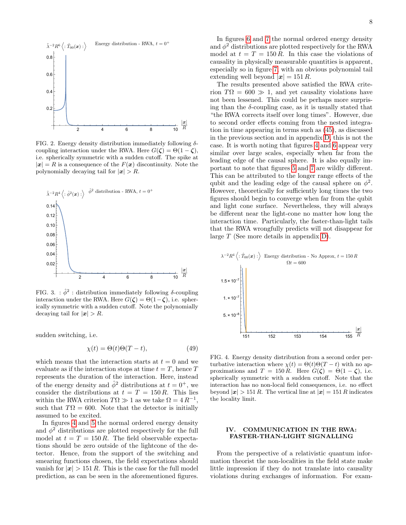

<span id="page-7-0"></span>FIG. 2. Energy density distribution immediately following  $\delta$ coupling interaction under the RWA. Here  $G(\zeta) = \Theta(1 - \zeta)$ , i.e. spherically symmetric with a sudden cutoff. The spike at  $|\mathbf{x}| = R$  is a consequence of the  $F(\mathbf{x})$  discontinuity. Note the polynomially decaying tail for  $|x| > R$ .



<span id="page-7-1"></span>FIG. 3. :  $\hat{\phi}^2$ : distribution immediately following  $\delta$ -coupling interaction under the RWA. Here  $G(\zeta) = \Theta(1-\zeta)$ , i.e. spherically symmetric with a sudden cutoff. Note the polynomially decaying tail for  $|x| > R$ .

sudden switching, i.e.

$$
\chi(t) = \Theta(t)\Theta(T - t),\tag{49}
$$

which means that the interaction starts at  $t = 0$  and we evaluate as if the interaction stops at time  $t = T$ , hence T represents the duration of the interaction. Here, instead of the energy density and  $\hat{\phi}^2$  distributions at  $t = 0^+$ , we consider the distributions at  $t = T = 150 R$ . This lies within the RWA criterion  $T\Omega \gg 1$  as we take  $\Omega = 4 R^{-1}$ , such that  $T\Omega = 600$ . Note that the detector is initially assumed to be excited.

In figures [4](#page-7-2) and [5](#page-8-0) the normal ordered energy density and  $\phi^2$  distributions are plotted respectively for the full model at  $t = T = 150 R$ . The field observable expectations should be zero outside of the lightcone of the detector. Hence, from the support of the switching and smearing functions chosen, the field expectations should vanish for  $|x| > 151 R$ . This is the case for the full model prediction, as can be seen in the aforementioned figures.

In figures [6](#page-8-1) and [7](#page-8-2) the normal ordered energy density and  $\phi^2$  distributions are plotted respectively for the RWA model at  $t = T = 150 R$ . In this case the violations of causality in physically measurable quantities is apparent, especially so in figure [7,](#page-8-2) with an obvious polynomial tail extending well beyond  $|\mathbf{x}| = 151 R$ .

The results presented above satisfied the RWA criterion  $T\Omega = 600 \gg 1$ , and yet causality violations have not been lessened. This could be perhaps more surprising than the  $\delta$ -coupling case, as it is usually stated that "the RWA corrects itself over long times". However, due to second order effects coming from the nested integration in time appearing in terms such as [\(45\)](#page-6-0), as discussed in the previous section and in appendix [D,](#page-17-0) this is not the case. It is worth noting that figures [4](#page-7-2) and [6](#page-8-1) appear very similar over large scales, especially when far from the leading edge of the causal sphere. It is also equally important to note that figures [5](#page-8-0) and [7](#page-8-2) are wildly different. This can be attributed to the longer range effects of the qubit and the leading edge of the causal sphere on  $\phi^2$ . However, theoretically for sufficiently long times the two figures should begin to converge when far from the qubit and light cone surface. Nevertheless, they will always be different near the light-cone no matter how long the interaction time. Particularly, the faster-than-light tails that the RWA wrongfully predicts will not disappear for large T (See more details in appendix [D\)](#page-17-0).



<span id="page-7-2"></span>FIG. 4. Energy density distribution from a second order perturbative interaction where  $\chi(t) = \Theta(t)\Theta(T-t)$  with no approximations and  $T = 150 R$ . Here  $G(\zeta) = \Theta(1 - \zeta)$ , i.e. spherically symmetric with a sudden cutoff. Note that the interaction has no non-local field consequences, i.e. no effect beyond  $|x| > 151 R$ . The vertical line at  $|x| = 151 R$  indicates the locality limit.

# IV. COMMUNICATION IN THE RWA: FASTER-THAN-LIGHT SIGNALLING

From the perspective of a relativistic quantum information theorist the non-localities in the field state make little impression if they do not translate into causality violations during exchanges of information. For exam-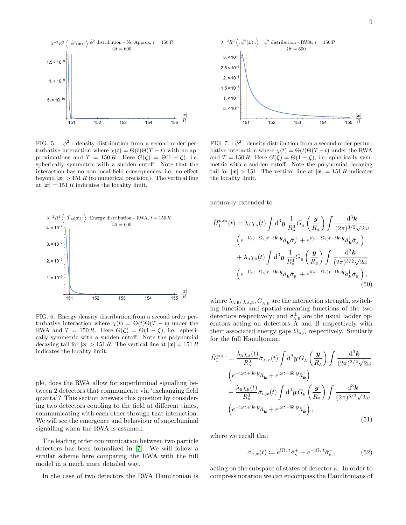

<span id="page-8-0"></span>FIG. 5. :  $\hat{\phi}^2$ : density distribution from a second order perturbative interaction where  $\chi(t) = \Theta(t)\Theta(T - t)$  with no approximations and  $T = 150 R$ . Here  $G(\zeta) = \Theta(1 - \zeta)$ , i.e. spherically symmetric with a sudden cutoff. Note that the interaction has no non-local field consequences, i.e. no effect beyond  $|x| > 151 R$  (to numerical precision). The vertical line at  $|x| = 151 R$  indicates the locality limit.



<span id="page-8-1"></span>FIG. 6. Energy density distribution from a second order perturbative interaction where  $\chi(t) = \Theta(t)\Theta(T-t)$  under the RWA and  $T = 150 R$ . Here  $G(\zeta) = \Theta(1 - \zeta)$ , i.e. spherically symmetric with a sudden cutoff. Note the polynomial decaying tail for  $|x| > 151 R$ . The vertical line at  $|x| = 151 R$ indicates the locality limit.

ple, does the RWA allow for superluminal signalling between 2 detectors that communicate via 'exchanging field quanta'? This section answers this question by considering two detectors coupling to the field at different times, communicating with each other through that interaction. We will see the emergence and behaviour of superluminal signalling when the RWA is assumed.

The leading order communication between two particle detectors has been formalized in [\[7\]](#page-22-6). We will follow a similar scheme here comparing the RWA with the full model in a much more detailed way.

In the case of two detectors the RWA Hamiltonian is



<span id="page-8-2"></span>FIG. 7. :  $\hat{\phi}^2$  : density distribution from a second order perturbative interaction where  $\chi(t) = \Theta(t)\Theta(T-t)$  under the RWA and  $T = 150 R$ . Here  $G(\zeta) = \Theta(1 - \zeta)$ , i.e. spherically symmetric with a sudden cutoff. Note the polynomial decaying tail for  $|x| > 151$ . The vertical line at  $|x| = 151 R$  indicates the locality limit.

naturally extended to

$$
\hat{H}_{\rm I}^{\rm RWA}(t) = \lambda_{\rm A} \chi_{\rm A}(t) \int d^3 y \, \frac{1}{R_{\rm A}^3} G_{\rm A} \left(\frac{y}{R_{\rm A}}\right) \int \frac{d^3 k}{(2\pi)^{3/2} \sqrt{2\omega}} \n\left(e^{-i(\omega - \Omega_{\rm A})t + i\mathbf{k} \cdot y} \hat{a}_{\mathbf{k}} \hat{\sigma}_{\rm A}^+ + e^{i(\omega - \Omega_{\rm A})t - i\mathbf{k} \cdot y} \hat{a}_{\mathbf{k}}^+ \hat{\sigma}_{\rm A}^- \right) \n+ \lambda_{\rm B} \chi_{\rm B}(t) \int d^3 y \, \frac{1}{R_{\rm B}^3} G_{\rm B} \left(\frac{y}{R_{\rm B}}\right) \int \frac{d^3 k}{(2\pi)^{3/2} \sqrt{2\omega}} \n\left(e^{-i(\omega - \Omega_{\rm B})t + i\mathbf{k} \cdot y} \hat{a}_{\mathbf{k}} \hat{\sigma}_{\rm B}^+ + e^{i(\omega - \Omega_{\rm B})t - i\mathbf{k} \cdot y} \hat{a}_{\mathbf{k}}^+ \hat{\sigma}_{\rm B}^- \right),
$$
\n(50)

where  $\lambda_{A,B}, \chi_{A,B}, G_{A,B}$  are the interaction strength, switching function and spatial smearing functions of the two detectors respectively; and  $\hat{\sigma}_{A,B}^{\pm}$  are the usual ladder operators acting on detectors A and B respectively with their associated energy gaps  $\Omega_{A,B}$  respectively. Similarly for the full Hamiltonian:

$$
\hat{H}_{\rm I}^{\rm FUL} = \frac{\lambda_{\rm A} \chi_{\rm A}(t)}{R_{\rm A}^3} \hat{\sigma}_{\rm A,x}(t) \int \mathrm{d}^3 \mathbf{y} \, G_{\rm A} \left(\frac{\mathbf{y}}{R_{\rm A}}\right) \int \frac{\mathrm{d}^3 \mathbf{k}}{(2\pi)^{3/2} \sqrt{2\omega}} \n\left(e^{-i\omega t + i\mathbf{k} \cdot \mathbf{y}} \hat{a}_{\mathbf{k}} + e^{i\omega t - i\mathbf{k} \cdot \mathbf{y}} \hat{a}_{\mathbf{k}}^{\dagger}\right) \n+ \frac{\lambda_{\rm B} \chi_{\rm B}(t)}{R_{\rm B}^3} \hat{\sigma}_{\rm B,x}(t) \int \mathrm{d}^3 \mathbf{y} \, G_{\rm B} \left(\frac{\mathbf{y}}{R_{\rm B}}\right) \int \frac{\mathrm{d}^3 \mathbf{k}}{(2\pi)^{3/2} \sqrt{2\omega}} \n\left(e^{-i\omega t + i\mathbf{k} \cdot \mathbf{y}} \hat{a}_{\mathbf{k}} + e^{i\omega t - i\mathbf{k} \cdot \mathbf{y}} \hat{a}_{\mathbf{k}}^{\dagger}\right),
$$
\n(51)

where we recall that

$$
\hat{\sigma}_{\kappa,x}(t) \coloneqq e^{\mathrm{i}\Omega_{\kappa}t}\hat{\sigma}_{\kappa}^+ + e^{-\mathrm{i}\Omega_{\kappa}t}\hat{\sigma}_{\kappa}^-,\tag{52}
$$

acting on the subspace of states of detector  $\kappa$ . In order to compress notation we can encompass the Hamiltonians of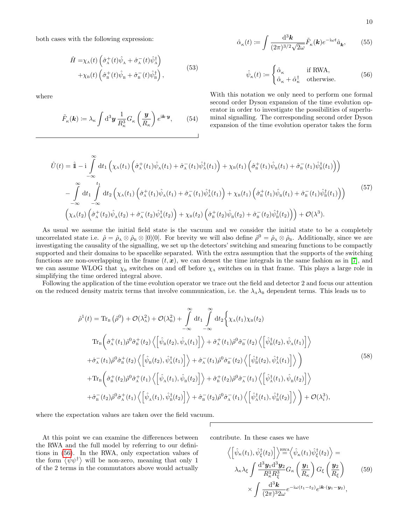both cases with the following expression:

$$
\hat{H} = \chi_{\rm A}(t) \left( \hat{\sigma}_{\rm A}^+(t) \hat{\psi}_{\rm A} + \hat{\sigma}_{\rm A}^-(t) \hat{\psi}_{\rm A}^\dagger \right) \n+ \chi_{\rm B}(t) \left( \hat{\sigma}_{\rm B}^+(t) \hat{\psi}_{\rm B} + \hat{\sigma}_{\rm B}^-(t) \hat{\psi}_{\rm B}^\dagger \right),
$$
\n(53)

where

$$
\tilde{F}_{\kappa}(\mathbf{k}) \coloneqq \lambda_{\kappa} \int \mathrm{d}^3 \mathbf{y} \, \frac{1}{R_{\kappa}^3} G_{\kappa} \left( \frac{\mathbf{y}}{R_{\kappa}} \right) e^{\mathrm{i} \mathbf{k} \cdot \mathbf{y}},\qquad(54)
$$

$$
\hat{\alpha}_{\kappa}(t) := \int \frac{\mathrm{d}^3 \mathbf{k}}{(2\pi)^{3/2} \sqrt{2\omega}} \tilde{F}_{\kappa}(\mathbf{k}) e^{-i\omega t} \hat{a}_{\mathbf{k}},\qquad(55)
$$

<span id="page-9-0"></span>
$$
\hat{\psi}_{\kappa}(t) \coloneqq \begin{cases} \hat{\alpha}_{\kappa} & \text{if RWA,} \\ \hat{\alpha}_{\kappa} + \hat{\alpha}_{\kappa}^{\dagger} & \text{otherwise.} \end{cases}
$$
(56)

With this notation we only need to perform one formal second order Dyson expansion of the time evolution operator in order to investigate the possibilities of superluminal signalling. The corresponding second order Dyson expansion of the time evolution operator takes the form

$$
\hat{U}(t) = \hat{\mathbb{I}} - i \int_{-\infty}^{\infty} dt_1 \left( \chi_A(t_1) \left( \hat{\sigma}_A^+(t_1) \hat{\psi}_A(t_1) + \hat{\sigma}_A^-(t_1) \hat{\psi}_A^{\dagger}(t_1) \right) + \chi_B(t_1) \left( \hat{\sigma}_B^+(t_1) \hat{\psi}_B(t_1) + \hat{\sigma}_B^-(t_1) \hat{\psi}_B^{\dagger}(t_1) \right) \right) \n- \int_{-\infty}^{\infty} dt_1 \int_{-\infty}^{t_1} dt_2 \left( \chi_A(t_1) \left( \hat{\sigma}_A^+(t_1) \hat{\psi}_A(t_1) + \hat{\sigma}_A^-(t_1) \hat{\psi}_A^{\dagger}(t_1) \right) + \chi_B(t_1) \left( \hat{\sigma}_B^+(t_1) \hat{\psi}_B(t_1) + \hat{\sigma}_B^-(t_1) \hat{\psi}_B^{\dagger}(t_1) \right) \right)
$$
\n
$$
\left( \chi_A(t_2) \left( \hat{\sigma}_A^+(t_2) \hat{\psi}_A(t_2) + \hat{\sigma}_A^-(t_2) \hat{\psi}_A^{\dagger}(t_2) \right) + \chi_B(t_2) \left( \hat{\sigma}_B^+(t_2) \hat{\psi}_B(t_2) + \hat{\sigma}_B^-(t_2) \hat{\psi}_B^{\dagger}(t_2) \right) \right) + \mathcal{O}(\lambda^3).
$$
\n(57)

As usual we assume the initial field state is the vacuum and we consider the initial state to be a completely uncorrelated state i.e.  $\hat{\rho} = \hat{\rho}_A \otimes \hat{\rho}_B \otimes |0\rangle\langle 0|$ . For brevity we will also define  $\hat{\rho}^0 = \hat{\rho}_A \otimes \hat{\rho}_B$ . Additionally, since we are investigating the causality of the signalling, we set up the detectors' switching and smearing functions to be compactly supported and their domains to be spacelike separated. With the extra assumption that the supports of the switching functions are non-overlapping in the frame  $(t, x)$ , we can denest the time integrals in the same fashion as in [\[7\]](#page-22-6), and we can assume WLOG that  $\chi_B$  switches on and off before  $\chi_A$  switches on in that frame. This plays a large role in simplifying the time ordered integral above.

Following the application of the time evolution operator we trace out the field and detector 2 and focus our attention on the reduced density matrix terms that involve communication, i.e. the  $\lambda_A\lambda_B$  dependent terms. This leads us to

$$
\hat{\rho}^{1}(t) = \text{Tr}_{B}(\hat{\rho}^{0}) + \mathcal{O}(\lambda_{A}^{2}) + \mathcal{O}(\lambda_{B}^{2}) + \int_{-\infty}^{\infty} dt_{1} \int_{-\infty}^{\infty} dt_{2} \Big\{ \chi_{A}(t_{1}) \chi_{B}(t_{2})
$$
\n
$$
\text{Tr}_{B} \Big( \hat{\sigma}_{A}^{+}(t_{1}) \hat{\rho}^{0} \hat{\sigma}_{B}^{+}(t_{2}) \Big\langle \Big[ \hat{\psi}_{B}(t_{2}), \hat{\psi}_{A}(t_{1}) \Big] \Big\rangle + \hat{\sigma}_{A}^{+}(t_{1}) \hat{\rho}^{0} \hat{\sigma}_{B}^{-}(t_{2}) \Big\langle \Big[ \hat{\psi}_{B}^{\dagger}(t_{2}), \hat{\psi}_{A}(t_{1}) \Big] \Big\rangle
$$
\n
$$
+ \hat{\sigma}_{A}^{-}(t_{1}) \hat{\rho}^{0} \hat{\sigma}_{B}^{+}(t_{2}) \Big\langle \Big[ \hat{\psi}_{B}(t_{2}), \hat{\psi}_{A}^{\dagger}(t_{1}) \Big] \Big\rangle + \hat{\sigma}_{A}^{-}(t_{1}) \hat{\rho}^{0} \hat{\sigma}_{B}^{-}(t_{2}) \Big\langle \Big[ \hat{\psi}_{B}^{\dagger}(t_{2}), \hat{\psi}_{A}^{\dagger}(t_{1}) \Big] \Big\rangle \Big)
$$
\n
$$
+ \text{Tr}_{B} \Big( \hat{\sigma}_{B}^{+}(t_{2}) \hat{\rho}^{0} \hat{\sigma}_{A}^{+}(t_{1}) \Big\langle \Big[ \hat{\psi}_{A}(t_{1}), \hat{\psi}_{B}(t_{2}) \Big] \Big\rangle + \hat{\sigma}_{B}^{+}(t_{2}) \hat{\rho}^{0} \hat{\sigma}_{A}^{-}(t_{1}) \Big\langle \Big[ \hat{\psi}_{A}^{\dagger}(t_{1}), \hat{\psi}_{B}(t_{2}) \Big] \Big\rangle
$$
\n
$$
+ \hat{\sigma}_{B}^{-}(t_{2}) \hat{\rho}^{0} \hat{\sigma}_{A}^{+}(t_{1}) \Big\langle \Big[ \hat{\psi}_{A}(t_{1}), \hat{\psi}_{B}^{\dagger}(t_{2}) \Big] \Big\rangle + \hat{\sigma}_{B}^{-}(t_{2}) \hat{\rho}^{0} \hat{\sigma}_{A}^{-}(t_{1}) \Big\langle \Big[ \hat{\psi}_{A}^{\dagger}(
$$

where the expectation values are taken over the field vacuum.

At this point we can examine the differences between the RWA and the full model by referring to our definitions in [\(56\)](#page-9-0). In the RWA, only expectation values of the form  $\langle \psi \psi^{\dagger} \rangle$  will be non-zero, meaning that only 1 of the 2 terms in the commutators above would actually

contribute. In these cases we have

<span id="page-9-2"></span><span id="page-9-1"></span>
$$
\left\langle \left[ \hat{\psi}_{\kappa}(t_1), \hat{\psi}_{\xi}^{\dagger}(t_2) \right] \right\rangle \stackrel{\text{RWA}}{=} \left\langle \hat{\psi}_{\kappa}(t_1) \hat{\psi}_{\xi}^{\dagger}(t_2) \right\rangle = \n\lambda_{\kappa} \lambda_{\xi} \int \frac{\mathrm{d}^3 \mathbf{y}_1 \mathrm{d}^3 \mathbf{y}_2}{R_{\kappa}^3 R_{\xi}^3} G_{\kappa} \left( \frac{\mathbf{y}_1}{R_{\kappa}} \right) G_{\xi} \left( \frac{\mathbf{y}_2}{R_{\xi}} \right) \qquad (59) \n\times \int \frac{\mathrm{d}^3 \mathbf{k}}{(2\pi)^3 2\omega} e^{-i\omega(t_1 - t_2)} e^{i\mathbf{k} \cdot (\mathbf{y}_1 - \mathbf{y}_2)},
$$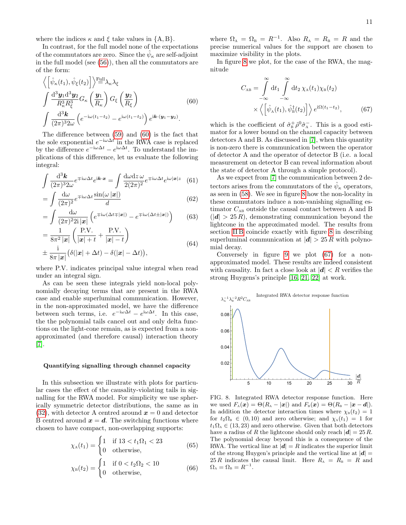where the indices  $\kappa$  and  $\xi$  take values in  $\{A, B\}$ .

In contrast, for the full model none of the expectations of the commutators are zero. Since the  $\hat{\psi}_{\kappa}$  are self-adjoint in the full model (see [\(56\)](#page-9-0)), then all the commutators are of the form:

$$
\langle \left[ \hat{\psi}_{\kappa}(t_1), \hat{\psi}_{\xi}(t_2) \right] \rangle^{\text{Full}} \lambda_{\kappa} \lambda_{\xi}
$$
\n
$$
\int \frac{\mathrm{d}^3 \mathbf{y}_1 \mathrm{d}^3 \mathbf{y}_2}{R_{\kappa}^3 R_{\xi}^3} G_{\kappa} \left( \frac{\mathbf{y}_1}{R_{\kappa}} \right) G_{\xi} \left( \frac{\mathbf{y}_2}{R_{\xi}} \right)
$$
\n
$$
\int \frac{\mathrm{d}^3 \mathbf{k}}{(2\pi)^3 2\omega} \left( e^{-i\omega(t_1 - t_2)} - e^{i\omega(t_1 - t_2)} \right) e^{i\mathbf{k} \cdot (\mathbf{y}_1 - \mathbf{y}_2)}.
$$
\n(60)

The difference between [\(59\)](#page-9-1) and [\(60\)](#page-10-0) is the fact that the sole exponential  $e^{-i\omega\Delta t}$  in the RWA case is replaced by the difference  $e^{-i\omega\Delta t} - e^{i\omega\Delta t}$ . To understand the implications of this difference, let us evaluate the following integral:

$$
\int \frac{\mathrm{d}^3 \mathbf{k}}{(2\pi)^3 2\omega} e^{\mp i\omega \Delta t} e^{i\mathbf{k} \cdot \mathbf{x}} = \int \frac{\mathrm{d}\omega \mathrm{d}z \, \omega}{2(2\pi)^2} e^{\mp i\omega \Delta t} e^{i\omega |\mathbf{x}|z} \tag{61}
$$

$$
= \int \frac{d\omega}{(2\pi)^2} e^{\mp i\omega \Delta t} \frac{\sin(\omega |\mathbf{x}|)}{d} \tag{62}
$$

$$
= \int \frac{\mathrm{d}\omega}{(2\pi)^2 2\mathrm{i} |\mathbf{x}|} \left( e^{\mp \mathrm{i}\omega(\Delta t \mp |\mathbf{x}|)} - e^{\mp \mathrm{i}\omega(\Delta t \pm |\mathbf{x}|)} \right) \tag{63}
$$

$$
= \frac{1}{8\pi^2 |\mathbf{x}|} \left( \frac{\text{P.V.}}{|\mathbf{x}| + t} + \frac{\text{P.V.}}{|\mathbf{x}| - t} \right)
$$
  

$$
\pm \frac{i}{8\pi |\mathbf{x}|} \left( \delta (|\mathbf{x}| + \Delta t) - \delta (|\mathbf{x}| - \Delta t) \right),
$$
 (64)

where P.V. indicates principal value integral when read under an integral sign.

As can be seen these integrals yield non-local polynomially decaying terms that are present in the RWA case and enable superluminal communication. However, in the non-approximated model, we have the difference between such terms, i.e.  $e^{-i\omega\Delta t} - e^{i\omega\Delta t}$ . In this case, the the polynomial tails cancel out and only delta functions on the light-cone remain, as is expected from a nonapproximated (and therefore causal) interaction theory [\[7\]](#page-22-6).

#### Quantifying signalling through channel capacity

In this subsection we illustrate with plots for particular cases the effect of the causality-violating tails in signalling for the RWA model. For simplicity we use spherically symmetric detector distributions, the same as in [\(32\)](#page-4-4), with detector A centred around  $x = 0$  and detector B centred around  $x = d$ . The switching functions where chosen to have compact, non-overlapping supports:

$$
\chi_{\mathcal{A}}(t_1) = \begin{cases} 1 & \text{if } 13 < t_1 \Omega_1 < 23 \\ 0 & \text{otherwise,} \end{cases} \tag{65}
$$

$$
\chi_{\rm B}(t_2) = \begin{cases} 1 & \text{if } 0 < t_2 \Omega_2 < 10 \\ 0 & \text{otherwise,} \end{cases} \tag{66}
$$

where  $\Omega_A = \Omega_B = R^{-1}$ . Also  $R_A = R_B = R$  and the precise numerical values for the support are chosen to maximize visibility in the plots.

In figure [8](#page-10-1) we plot, for the case of the RWA, the magnitude

<span id="page-10-2"></span>
$$
C_{AB} = \int_{-\infty}^{\infty} dt_1 \int_{-\infty}^{\infty} dt_2 \chi_A(t_1) \chi_B(t_2)
$$
  
 
$$
\times \langle \left[ \hat{\psi}_A(t_1), \hat{\psi}_B^{\dagger}(t_2) \right] \rangle e^{i\Omega(t_1 - t_2)}, \qquad (67)
$$

<span id="page-10-0"></span>which is the coefficient of  $\hat{\sigma}_{B}^{+} \hat{\rho}^{0} \hat{\sigma}_{A}^{-}$ . This is a good estimator for a lower bound on the channel capacity between detectors A and B. As discussed in [\[7\]](#page-22-6), when this quantity is non-zero there is communication between the operator of detector A and the operator of detector B (i.e. a local measurement on detector B can reveal information about the state of detector A through a simple protocol).

As we expect from [\[7\]](#page-22-6) the communication between 2 detectors arises from the commutators of the  $\hat{\psi}_{\kappa}$  operators, as seen in [\(58\)](#page-9-2). We see in figure [8](#page-10-1) how the non-locality in these commutators induce a non-vanishing signalling estimator  $C_{AB}$  outside the causal contact between A and B  $(|d| > 25 R)$ , demonstrating communication beyond the lightcone in the approximated model. The results from section [II B](#page-2-4) coincide exactly with figure [8](#page-10-1) in describing superluminal communication at  $|\mathbf{d}| > 25 R$  with polynomial decay.

Conversely in figure [9](#page-11-0) we plot [\(67\)](#page-10-2) for a nonapproximated model. These results are indeed consistent with causality. In fact a close look at  $|\mathbf{d}| < R$  verifies the strong Huygens's principle [\[16,](#page-22-18) [21,](#page-22-19) [22\]](#page-22-20) at work.



<span id="page-10-1"></span>FIG. 8. Integrated RWA detector response function. Here we used  $F_{A}(\boldsymbol{x}) = \Theta(R_{A} - |\boldsymbol{x}|)$  and  $F_{B}(\boldsymbol{x}) = \Theta(R_{B} - |\boldsymbol{x} - \boldsymbol{d}|).$ In addition the detector interaction times where  $\chi_{\text{B}}(t_2) = 1$ for  $t_2\Omega_B \in (0, 10)$  and zero otherwise; and  $\chi_A(t_1) = 1$  for  $t_1\Omega_A \in (13, 23)$  and zero otherwise. Given that both detectors have a radius of R the lightcone should only reach  $|\mathbf{d}| = 25 R$ . The polynomial decay beyond this is a consequence of the RWA. The vertical line at  $|\mathbf{d}| = R$  indicates the superior limit of the strong Huygen's principle and the vertical line at  $|d| =$  $25 R$  indicates the causal limit. Here  $R_{\text{A}} = R_{\text{B}} = R$  and  $\Omega_{\text{A}} = \Omega_{\text{B}} = R^{-1}.$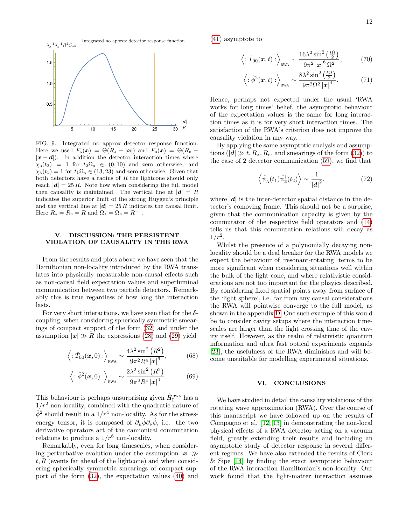

<span id="page-11-0"></span>FIG. 9. Integrated no approx detector response function. Here we used  $F_{A}(\boldsymbol{x}) = \Theta(R_{A} - |\boldsymbol{x}|)$  and  $F_{B}(\boldsymbol{x}) = \Theta(R_{B} - \Phi)\mathbb{I}$  $|x - d|$ ). In addition the detector interaction times where  $\chi_{\text{B}}(t_2) = 1$  for  $t_2 \Omega_{\text{B}} \in (0, 10)$  and zero otherwise; and  $\chi_{A}(t_1) = 1$  for  $t_1 \Omega_A \in (13, 23)$  and zero otherwise. Given that both detectors have a radius of  $R$  the lightcone should only reach  $|d| = 25 R$ . Note how when considering the full model then causality is maintained. The vertical line at  $|d| = R$ indicates the superior limit of the strong Huygen's principle and the vertical line at  $|\mathbf{d}| = 25 R$  indicates the causal limit. Here  $R_{\text{A}} = R_{\text{B}} = R$  and  $\Omega_{\text{A}} = \Omega_{\text{B}} = R^{-1}$ .

### <span id="page-11-1"></span>V. DISCUSSION: THE PERSISTENT VIOLATION OF CAUSALITY IN THE RWA

From the results and plots above we have seen that the Hamiltonian non-locality introduced by the RWA translates into physically measurable non-causal effects such as non-causal field expectation values and superluminal communication between two particle detectors. Remarkably this is true regardless of how long the interaction lasts.

For very short interactions, we have seen that for the  $\delta$ coupling, when considering spherically symmetric smearings of compact support of the form [\(32\)](#page-4-4) and under the assumption  $|x| \gg R$  the expressions [\(28\)](#page-4-0) and [\(29\)](#page-4-1) yield

$$
\langle : \hat{T}_{00}(\boldsymbol{x},0) : \rangle_{\text{RWA}} \sim \frac{4\lambda^2 \sin^2 (R^2)}{9\pi^2 R^4 |\boldsymbol{x}|^6},
$$
 (68)

$$
\langle : \hat{\phi}^2(\boldsymbol{x},0) : \rangle_{\text{RWA}} \sim \frac{2\lambda^2 \sin^2 (R^2)}{9\pi^2 R^4 |\boldsymbol{x}|^4}.
$$
 (69)

This behaviour is perhaps unsurprising given  $\hat{H}^{\text{RWA}}_{\text{I}}$  has a  $1/r^2$  non-locality, combined with the quadratic nature of  $\hat{\phi}^2$  should result in a  $1/r^4$  non-locality. As for the stressenergy tensor, it is composed of  $\partial_{\mu}\hat{\phi}\partial_{\nu}\hat{\phi}$ , i.e. the two derivative operators act of the cannonical commutation relations to produce a  $1/r^6$  non-locality.

Remarkably, even for long timescales, when considering perturbative evolution under the assumption  $|x| \gg$  $t, R$  (events far ahead of the lightcone) and when considering spherically symmetric smearings of compact support of the form [\(32\)](#page-4-4), the expectation values [\(40\)](#page-6-1) and [\(41\)](#page-6-2) asymptote to

$$
\langle : \hat{T}_{00}(\boldsymbol{x},t) : \rangle_{\text{RWA}} \sim \frac{16\lambda^2 \sin^2\left(\frac{t\Omega}{2}\right)}{9\pi^2 |\boldsymbol{x}|^6 \Omega^2},
$$
 (70)

$$
\left\langle : \hat{\phi}^2(\boldsymbol{x}, t) : \right\rangle_{\text{RWA}} \sim \frac{8\lambda^2 \sin^2\left(\frac{t\Omega}{2}\right)}{9\pi^2 \Omega^2 |\boldsymbol{x}|^4}.
$$
 (71)

Hence, perhaps not expected under the usual 'RWA works for long times' belief, the asymptotic behaviour of the expectation values is the same for long interaction times as it is for very short interaction times. The satisfaction of the RWA's criterion does not improve the causality violation in any way.

By applying the same asymptotic analysis and assumptions ( $|\mathbf{d}| \gg t, R_{\text{A}}, R_{\text{B}}$ , and smearings of the form [\(32\)](#page-4-4)) to the case of 2 detector communication [\(59\)](#page-9-1), we find that

$$
\left\langle \hat{\psi}_A(t_1)\hat{\psi}_B^{\dagger}(t_2) \right\rangle \sim \frac{1}{|\mathbf{d}|^2},
$$
 (72)

where  $|\mathbf{d}|$  is the inter-detector spatial distance in the detector's comoving frame. This should not be a surprise, given that the communication capacity is given by the commutator of the respective field operators and [\(14\)](#page-2-2) tells us that this commutation relations will decay as  $1/r^2$ .

Whilst the presence of a polynomially decaying nonlocality should be a deal breaker for the RWA models we expect the behaviour of 'resonant-rotating' terms to be more significant when considering situations well within the bulk of the light cone, and where relativistic considerations are not too important for the phsyics described. By considering fixed spatial points away from surface of the 'light sphere', i.e. far from any causal considerations the RWA will pointwise converge to the full model, as shown in the appendix [D.](#page-17-0) One such example of this would be to consider cavity setups where the interaction timescales are larger than the light crossing time of the cavity itself. However, as the realm of relativistic quantum information and ultra fast optical experiments expands [\[23\]](#page-22-21), the usefulness of the RWA diminishes and will become unsuitable for modelling experimental situations.

## VI. CONCLUSIONS

We have studied in detail the causality violations of the rotating wave approximation (RWA). Over the course of this manuscript we have followed up on the results of Compagno et al. [\[12,](#page-22-11) [13\]](#page-22-12) in demonstrating the non-local physical effects of a RWA detector acting on a vacuum field, greatly extending their results and including an asymptotic study of detector response in several different regimes. We have also extended the results of Clerk & Sipe [\[14\]](#page-22-13) by finding the exact asymptotic behaviour of the RWA interaction Hamiltonian's non-locality. Our work found that the light-matter interaction assumes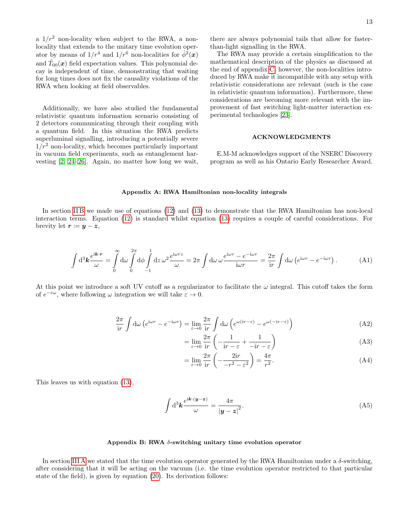a  $1/r^2$  non-locality when subject to the RWA, a nonlocality that extends to the unitary time evolution operator by means of  $1/r^4$  and  $1/r^6$  non-localities for  $\hat{\phi}^2(x)$ and  $\hat{T}_{00}(\boldsymbol{x})$  field expectation values. This polynomial decay is independent of time, demonstrating that waiting for long times does not fix the causality violations of the RWA when looking at field observables.

Additionally, we have also studied the fundamental relativistic quantum information scenario consisting of 2 detectors communicating through their coupling with a quantum field. In this situation the RWA predicts superluminal signalling, introducing a potentially severe  $1/r^2$  non-locality, which becomes particularly important in vacuum field experiments, such as entanglement harvesting [\[2,](#page-22-1) [24–](#page-22-22)[26\]](#page-22-23). Again, no matter how long we wait,

there are always polynomial tails that allow for fasterthan-light signalling in the RWA.

The RWA may provide a certain simplification to the mathematical description of the physics as discussed at the end of appendix [C;](#page-13-0) however, the non-localities introduced by RWA make it incompatible with any setup with relativistic considerations are relevant (such is the case in relativistic quantum information). Furthermore, these considerations are becoming more relevant with the improvement of fast switching light-matter interaction experimental technologies [\[23\]](#page-22-21).

## ACKNOWLEDGMENTS

E.M-M acknowledges support of the NSERC Discovery program as well as his Ontario Early Researcher Award.

### <span id="page-12-0"></span>Appendix A: RWA Hamiltonian non-locality integrals

In section [II B](#page-2-4) we made use of equations [\(12\)](#page-2-5) and [\(13\)](#page-2-6) to demonstrate that the RWA Hamiltonian has non-local interaction terms. Equation [\(12\)](#page-2-5) is standard whilst equation [\(13\)](#page-2-6) requires a couple of careful considerations. For brevity let  $r \coloneqq y - z$ ,

$$
\int d^3 \mathbf{k} \frac{e^{i\mathbf{k} \cdot \mathbf{r}}}{\omega} = \int_0^\infty d\omega \int_0^{2\pi} d\phi \int_{-1}^1 dz \,\omega^2 \frac{e^{i\omega rz}}{\omega} = 2\pi \int d\omega \,\omega \frac{e^{i\omega r} - e^{-i\omega r}}{i\omega r} = \frac{2\pi}{ir} \int d\omega \left( e^{i\omega r} - e^{-i\omega r} \right). \tag{A1}
$$

At this point we introduce a soft UV cutoff as a regularizator to facilitate the  $\omega$  integral. This cutoff takes the form of  $e^{-\varepsilon\omega}$ , where following  $\omega$  integration we will take  $\varepsilon \to 0$ .

$$
\frac{2\pi}{\mathrm{i}r} \int \mathrm{d}\omega \left( e^{\mathrm{i}\omega r} - e^{-\mathrm{i}\omega r} \right) = \lim_{\varepsilon \to 0} \frac{2\pi}{\mathrm{i}r} \int \mathrm{d}\omega \left( e^{\omega(\mathrm{i}r - \varepsilon)} - e^{\omega(-\mathrm{i}r - \varepsilon)} \right) \tag{A2}
$$

$$
= \lim_{\varepsilon \to 0} \frac{2\pi}{\mathrm{i}r} \left( -\frac{1}{\mathrm{i}r - \varepsilon} + \frac{1}{-\mathrm{i}r - \varepsilon} \right) \tag{A3}
$$

$$
= \lim_{\varepsilon \to 0} \frac{2\pi}{\mathrm{i}r} \left( -\frac{2\mathrm{i}r}{-r^2 - \varepsilon^2} \right) = \frac{4\pi}{r^2}.
$$
 (A4)

This leaves us with equation [\(13\)](#page-2-6),

$$
\int d^3 \mathbf{k} \frac{e^{i\mathbf{k} \cdot (\mathbf{y} - \mathbf{z})}}{\omega} = \frac{4\pi}{|\mathbf{y} - \mathbf{z}|^2}.
$$
\n(A5)

### <span id="page-12-1"></span>Appendix B: RWA  $\delta$ -switching unitary time evolution operator

In section [III A](#page-2-3) we stated that the time evolution operator generated by the RWA Hamiltonian under a  $\delta$ -switching, after considering that it will be acting on the vacuum (i.e. the time evolution operator restricted to that particular state of the field), is given by equation [\(20\)](#page-3-2). Its derivation follows: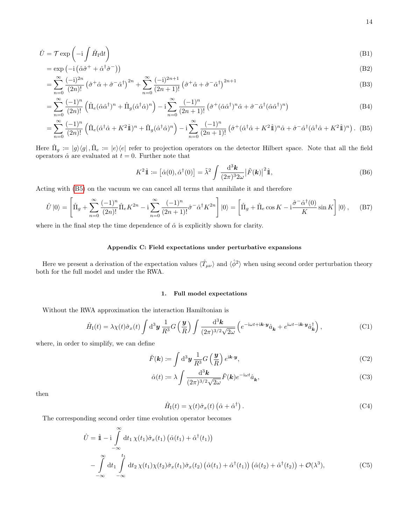$$
\hat{U} = \mathcal{T} \exp\left(-i \int \hat{H}_{\rm I} \mathrm{d}t\right) \tag{B1}
$$

$$
= \exp(-i(\hat{\alpha}\hat{\sigma}^+ + \hat{\alpha}^\dagger\hat{\sigma}^-))
$$
(B2)

$$
= \sum_{n=0}^{\infty} \frac{(-i)^{2n}}{(2n)!} \left(\hat{\sigma}^+ \hat{\alpha} + \hat{\sigma}^- \hat{\alpha}^{\dagger}\right)^{2n} + \sum_{n=0}^{\infty} \frac{(-i)^{2n+1}}{(2n+1)!} \left(\hat{\sigma}^+ \hat{\alpha} + \hat{\sigma}^- \hat{\alpha}^{\dagger}\right)^{2n+1}
$$
(B3)

$$
= \sum_{n=0}^{\infty} \frac{(-1)^n}{(2n)!} \left( \hat{\Pi}_e(\hat{\alpha}\hat{\alpha}^\dagger)^n + \hat{\Pi}_g(\hat{\alpha}^\dagger\hat{\alpha})^n \right) - i \sum_{n=0}^{\infty} \frac{(-1)^n}{(2n+1)!} \left( \hat{\sigma}^+(\hat{\alpha}\hat{\alpha}^\dagger)^n \hat{\alpha} + \hat{\sigma}^-\hat{\alpha}^\dagger(\hat{\alpha}\hat{\alpha}^\dagger)^n \right)
$$
(B4)

$$
= \sum_{n=0}^{\infty} \frac{(-1)^n}{(2n)!} \left( \hat{\Pi}_e (\hat{\alpha}^\dagger \hat{\alpha} + K^2 \hat{\mathbb{1}})^n + \hat{\Pi}_g (\hat{\alpha}^\dagger \hat{\alpha})^n \right) - i \sum_{n=0}^{\infty} \frac{(-1)^n}{(2n+1)!} \left( \hat{\sigma}^+ (\hat{\alpha}^\dagger \hat{\alpha} + K^2 \hat{\mathbb{1}})^n \hat{\alpha} + \hat{\sigma}^- \hat{\alpha}^\dagger (\hat{\alpha}^\dagger \hat{\alpha} + K^2 \hat{\mathbb{1}})^n \right). \tag{B5}
$$

Here  $\hat{\Pi}_g := |g\rangle\langle g|$ ,  $\hat{\Pi}_e := |e\rangle\langle e|$  refer to projection operators on the detector Hilbert space. Note that all the field operators  $\hat{\alpha}$  are evaluated at  $t = 0$ . Further note that

<span id="page-13-1"></span>
$$
K^{2}\hat{\mathbb{1}} := \left[\hat{\alpha}(0), \hat{\alpha}^{\dagger}(0)\right] = \tilde{\lambda}^{2} \int \frac{\mathrm{d}^{3} \mathbf{k}}{(2\pi)^{3} 2\omega} \left|\tilde{F}(\mathbf{k})\right|^{2} \hat{\mathbb{1}},\tag{B6}
$$

Acting with [\(B5\)](#page-13-1) on the vacuum we can cancel all terms that annihilate it and therefore

$$
\hat{U}|0\rangle = \left[\hat{\Pi}_g + \sum_{n=0}^{\infty} \frac{(-1)^n}{(2n)!} \hat{\Pi}_e K^{2n} - i \sum_{n=0}^{\infty} \frac{(-1)^n}{(2n+1)!} \hat{\sigma}^- \hat{\alpha}^{\dagger} K^{2n}\right]|0\rangle = \left[\hat{\Pi}_g + \hat{\Pi}_e \cos K - i \frac{\hat{\sigma}^- \hat{\alpha}^{\dagger}(0)}{K} \sin K\right]|0\rangle, \quad (B7)
$$

where in the final step the time dependence of  $\hat{\alpha}$  is explicitly shown for clarity.

# <span id="page-13-0"></span>Appendix C: Field expectations under perturbative expansions

Here we present a derivation of the expectation values  $\langle \hat{T}_{\mu\nu} \rangle$  and  $\langle \hat{\phi}^2 \rangle$  when using second order perturbation theory both for the full model and under the RWA.

## 1. Full model expectations

Without the RWA approximation the interaction Hamiltonian is

$$
\hat{H}_{\rm I}(t) = \lambda \chi(t) \hat{\sigma}_x(t) \int \mathrm{d}^3 y \, \frac{1}{R^3} G\left(\frac{y}{R}\right) \int \frac{\mathrm{d}^3 k}{(2\pi)^{3/2} \sqrt{2\omega}} \left(e^{-i\omega t + i\mathbf{k} \cdot \mathbf{y}} \hat{a}_{\mathbf{k}} + e^{i\omega t - i\mathbf{k} \cdot \mathbf{y}} \hat{a}_{\mathbf{k}}^{\dagger}\right),\tag{C1}
$$

where, in order to simplify, we can define

$$
\tilde{F}(\mathbf{k}) \coloneqq \int \mathrm{d}^3 \mathbf{y} \, \frac{1}{R^3} G\left(\frac{\mathbf{y}}{R}\right) e^{\mathrm{i} \mathbf{k} \cdot \mathbf{y}},\tag{C2}
$$

$$
\hat{\alpha}(t) := \lambda \int \frac{\mathrm{d}^3 \mathbf{k}}{(2\pi)^{3/2} \sqrt{2\omega}} \tilde{F}(\mathbf{k}) e^{-i\omega t} \hat{a}_{\mathbf{k}},\tag{C3}
$$

then

$$
\hat{H}_{\rm I}(t) = \chi(t)\hat{\sigma}_x(t) \left(\hat{\alpha} + \hat{\alpha}^{\dagger}\right). \tag{C4}
$$

The corresponding second order time evolution operator becomes

$$
\hat{U} = \hat{\mathbb{1}} - i \int_{-\infty}^{\infty} dt_1 \chi(t_1) \hat{\sigma}_x(t_1) \left( \hat{\alpha}(t_1) + \hat{\alpha}^\dagger(t_1) \right)
$$
  
\n
$$
- \int_{-\infty}^{\infty} dt_1 \int_{-\infty}^{t_1} dt_2 \chi(t_1) \chi(t_2) \hat{\sigma}_x(t_1) \hat{\sigma}_x(t_2) \left( \hat{\alpha}(t_1) + \hat{\alpha}^\dagger(t_1) \right) \left( \hat{\alpha}(t_2) + \hat{\alpha}^\dagger(t_2) \right) + \mathcal{O}(\lambda^3), \tag{C5}
$$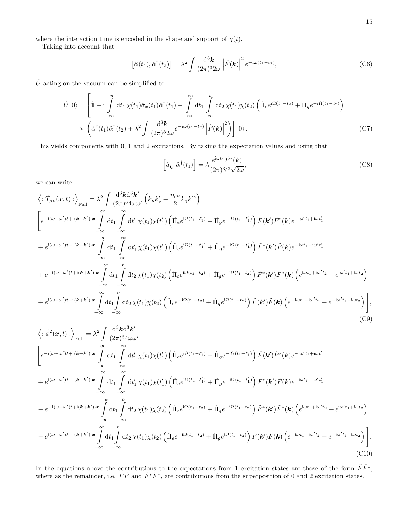where the interaction time is encoded in the shape and support of  $\chi(t)$ .

Taking into account that

$$
\left[\hat{\alpha}(t_1), \hat{\alpha}^\dagger(t_2)\right] = \lambda^2 \int \frac{\mathrm{d}^3 \mathbf{k}}{(2\pi)^3 2\omega} \left|\tilde{F}(\mathbf{k})\right|^2 e^{-i\omega(t_1 - t_2)},\tag{C6}
$$

 $\hat{U}$  acting on the vacuum can be simplified to

$$
\hat{U}|0\rangle = \left[\hat{\mathbb{1}} - i \int_{-\infty}^{\infty} dt_1 \chi(t_1) \hat{\sigma}_x(t_1) \hat{\alpha}^\dagger(t_1) - \int_{-\infty}^{\infty} dt_1 \int_{-\infty}^{t_1} dt_2 \chi(t_1) \chi(t_2) \left(\hat{\Pi}_e e^{i\Omega(t_1 - t_2)} + \Pi_g e^{-i\Omega(t_1 - t_2)}\right) \times \left(\hat{\alpha}^\dagger(t_1) \hat{\alpha}^\dagger(t_2) + \lambda^2 \int \frac{d^3 \mathbf{k}}{(2\pi)^3 2\omega} e^{-i\omega(t_1 - t_2)} \left|\tilde{F}(\mathbf{k})\right|^2\right)\right]|0\rangle.
$$
\n(C7)

This yields components with 0, 1 and 2 excitations. By taking the expectation values and using that

$$
\left[\hat{a}_{\mathbf{k}}, \hat{\alpha}^{\dagger}(t_1)\right] = \lambda \frac{e^{i\omega t_1} \tilde{F}^*(\mathbf{k})}{(2\pi)^{3/2} \sqrt{2\omega}},\tag{C8}
$$

we can write

$$
\langle : \hat{T}_{\mu\nu}(\boldsymbol{x},t): \rangle_{\text{Full}} = \lambda^{2} \int \frac{d^{3}k d^{3}k'}{(2\pi)^{6}4\omega\omega'} \left( k_{\mu}k_{\nu}^{\prime} - \frac{\eta_{\mu\nu}}{2}k_{\gamma}k^{\prime\gamma} \right)
$$
\n
$$
\left[ e^{-i(\omega-\omega')t+i(\boldsymbol{k}-\boldsymbol{k}')\cdot\boldsymbol{x}} \int_{-\infty}^{\infty} dt_{1} \int_{-\infty}^{\infty} dt_{1}^{\prime} \chi(t_{1})\chi(t_{1}^{\prime}) \left( \hat{\Pi}_{e} e^{i\Omega(t_{1}-t_{1}^{\prime})} + \hat{\Pi}_{g} e^{-i\Omega(t_{1}-t_{1}^{\prime})} \right) \tilde{F}(\boldsymbol{k}') \tilde{F}^{*}(\boldsymbol{k}) e^{-i\omega' t_{1}+i\omega t_{1}^{\prime}}
$$
\n
$$
+ e^{i(\omega-\omega')t-i(\boldsymbol{k}-\boldsymbol{k}')\cdot\boldsymbol{x}} \int_{-\infty}^{\infty} dt_{1} \int_{-\infty}^{\infty} dt_{1}^{\prime} \chi(t_{1})\chi(t_{1}^{\prime}) \left( \hat{\Pi}_{e} e^{i\Omega(t_{1}-t_{1}^{\prime})} + \hat{\Pi}_{g} e^{-i\Omega(t_{1}-t_{1}^{\prime})} \right) \tilde{F}^{*}(\boldsymbol{k}') \tilde{F}(\boldsymbol{k}) e^{-i\omega t_{1}+i\omega' t_{1}^{\prime}}
$$
\n
$$
+ e^{-i(\omega+\omega')t+i(\boldsymbol{k}+\boldsymbol{k}')\cdot\boldsymbol{x}} \int_{-\infty}^{\infty} dt_{1} \int_{-\infty}^{t_{1}} dt_{2} \chi(t_{1})\chi(t_{2}) \left( \hat{\Pi}_{e} e^{i\Omega(t_{1}-t_{2})} + \hat{\Pi}_{g} e^{-i\Omega(t_{1}-t_{2})} \right) \tilde{F}^{*}(\boldsymbol{k}') \tilde{F}^{*}(\boldsymbol{k}) \left( e^{i\omega t_{1}+i\omega' t_{2}} + e^{i\omega' t_{1}+i\omega t_{2}} \right)
$$
\n
$$
+ e^{i(\omega+\omega')t-i(\boldsymbol{k}+\boldsymbol{k}')\cdot\boldsymbol{x}} \int_{-\infty}^{\infty} dt_{1} \int_{-\infty}^{t_{
$$

$$
\langle : \hat{\phi}^{2}(\boldsymbol{x},t) : \rangle_{\text{Full}} = \lambda^{2} \int \frac{d^{3} \mathbf{k} d^{3} \mathbf{k}'}{(2\pi)^{6} 4\omega \omega'} \n\Bigg[ e^{-i(\omega - \omega')t + i(\mathbf{k} - \mathbf{k}') \cdot \mathbf{x}} \int \limits_{-\infty}^{\infty} dt_{1} \int \limits_{-\infty}^{\infty} dt'_{1} \chi(t_{1}) \chi(t_{1}') \left( \hat{\Pi}_{e} e^{i\Omega(t_{1} - t_{1}')} + \hat{\Pi}_{g} e^{-i\Omega(t_{1} - t_{1}')} \right) \tilde{F}(\mathbf{k}') \tilde{F}^{*}(\mathbf{k}) e^{-i\omega' t_{1} + i\omega t_{1}'} \n+ e^{i(\omega - \omega')t - i(\mathbf{k} - \mathbf{k}') \cdot \mathbf{x}} \int \limits_{-\infty}^{\infty} dt_{1} \int \limits_{-\infty}^{\infty} dt'_{1} \chi(t_{1}) \chi(t_{1}') \left( \hat{\Pi}_{e} e^{i\Omega(t_{1} - t_{1}')} + \hat{\Pi}_{g} e^{-i\Omega(t_{1} - t_{1}')} \right) \tilde{F}^{*}(\mathbf{k}') \tilde{F}(\mathbf{k}) e^{-i\omega t_{1} + i\omega' t_{1}'} \n- e^{-i(\omega + \omega')t + i(\mathbf{k} + \mathbf{k}') \cdot \mathbf{x}} \int \limits_{-\infty}^{\infty} dt_{1} \int \limits_{-\infty}^{t_{1}} dt_{2} \chi(t_{1}) \chi(t_{2}) \left( \hat{\Pi}_{e} e^{i\Omega(t_{1} - t_{2})} + \hat{\Pi}_{g} e^{-i\Omega(t_{1} - t_{2})} \right) \tilde{F}^{*}(\mathbf{k}') \tilde{F}^{*}(\mathbf{k}) \left( e^{i\omega t_{1} + i\omega' t_{2}} + e^{i\omega' t_{1} + i\omega t_{2}} \right) \n- e^{i(\omega + \omega')t - i(\mathbf{k} + \mathbf{k}') \cdot \mathbf{x}} \int \limits_{-\infty}^{\infty} dt_{1} \int \limits_{-\infty}^{t_{1}} dt_{2} \chi(t_{1}) \chi(t_{2}) \left( \hat{\Pi}_{e} e^{-i\Omega(t_{1} - t_{2})} + \hat{\Pi}_{g} e^{i\Omega(t
$$

In the equations above the contributions to the expectations from 1 excitation states are those of the form  $\tilde{F}\tilde{F}^*$ , where as the remainder, i.e.  $\tilde{F}\tilde{F}$  and  $\tilde{F}^*\tilde{F}^*$ , are contributions from the superposition of 0 and 2 excitation states.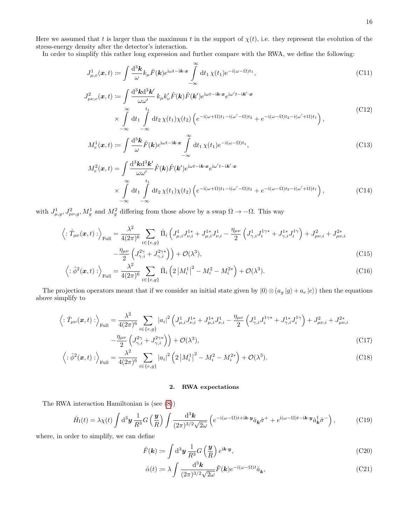Here we assumed that t is larger than the maximum t in the support of  $\chi(t)$ , i.e. they represent the evolution of the stress-energy density after the detector's interaction.

In order to simplify this rather long expression and further compare with the RWA, we define the following:

<span id="page-15-0"></span>
$$
J_{\mu,e}^1(\boldsymbol{x},t) := \int \frac{\mathrm{d}^3 \boldsymbol{k}}{\omega} k_{\mu} \tilde{F}(\boldsymbol{k}) e^{\mathrm{i}\omega t - \mathrm{i}\boldsymbol{k} \cdot \boldsymbol{x}} \int \limits_{-\infty}^{\infty} \mathrm{d}t_1 \, \chi(t_1) e^{-\mathrm{i}(\omega - \Omega)t_1},\tag{C11}
$$

$$
J_{\mu\nu,e}^{2}(\boldsymbol{x},t) := \int \frac{d^{3} \mathbf{k} d^{3} \mathbf{k}'}{\omega \omega'} k_{\mu} k_{\nu}' \tilde{F}(\mathbf{k}) \tilde{F}(\mathbf{k}') e^{i\omega t - i\mathbf{k} \cdot \mathbf{x}} e^{i\omega' t - i\mathbf{k}' \cdot \mathbf{x}}
$$
  
 
$$
\times \int \limits_{-\infty}^{\infty} dt_{1} \int \limits_{-\infty}^{t_{1}} dt_{2} \chi(t_{1}) \chi(t_{2}) \left( e^{-i(\omega + \Omega)t_{1} - i(\omega' - \Omega)t_{2}} + e^{-i(\omega - \Omega)t_{2} - i(\omega' + \Omega)t_{1}} \right), \tag{C12}
$$

<span id="page-15-1"></span>
$$
M_e^1(\boldsymbol{x},t) \coloneqq \int \frac{\mathrm{d}^3 \boldsymbol{k}}{\omega} \tilde{F}(\boldsymbol{k}) e^{\mathrm{i}\omega t - \mathrm{i}\boldsymbol{k} \cdot \boldsymbol{x}} \int_{-\infty}^{\infty} \mathrm{d}t_1 \,\chi(t_1) e^{-\mathrm{i}(\omega - \Omega)t_1},\tag{C13}
$$

<span id="page-15-2"></span>
$$
M_e^2(\boldsymbol{x},t) = \int \frac{\mathrm{d}^3 \mathbf{k} \mathrm{d}^3 \mathbf{k}'}{\omega \omega'} \tilde{F}(\mathbf{k}) \tilde{F}(\mathbf{k}') e^{i\omega t - i\mathbf{k} \cdot \mathbf{x}} e^{i\omega' t - i\mathbf{k}' \cdot \mathbf{x}} \times \int \limits_{-\infty}^{\infty} \mathrm{d}t_1 \int \limits_{-\infty}^{t_1} \mathrm{d}t_2 \,\chi(t_1) \chi(t_2) \left( e^{-i(\omega + \Omega)t_1 - i(\omega' - \Omega)t_2} + e^{-i(\omega - \Omega)t_2 - i(\omega' + \Omega)t_1} \right),
$$
\n(C14)

with  $J_{\mu,g}^1, J_{\mu\nu,g}^2, M_g^1$  and  $M_g^2$  differing from those above by a swap  $\Omega \to -\Omega$ . This way

$$
\left\langle : \hat{T}_{\mu\nu}(\boldsymbol{x},t) : \right\rangle_{\text{Full}} = \frac{\lambda^2}{4(2\pi)^6} \sum_{i \in \{e,g\}} \hat{\Pi}_i \left( J_{\mu,i}^1 J_{\nu,i}^{1*} + J_{\mu,i}^{1*} J_{\nu,i}^1 - \frac{\eta_{\mu\nu}}{2} \left( J_{\gamma,i}^1 J_i^{1\gamma*} + J_{\gamma,i}^{1*} J_i^{1\gamma} \right) + J_{\mu\nu,i}^2 + J_{\mu\nu,i}^{2*} - \frac{\eta_{\mu\nu}}{2} \left( J_{\gamma,i}^{2\gamma} + J_{\gamma,i}^{2\gamma*} \right) \right) + \mathcal{O}(\lambda^3), \tag{C15}
$$

$$
\left\langle : \hat{\phi}^2(\mathbf{x}, t) : \right\rangle_{\text{Full}} = \frac{\lambda^2}{4(2\pi)^6} \sum_{i \in \{e, g\}} \hat{\Pi}_i \left( 2 \left| M_i^1 \right|^2 - M_i^2 - M_i^{2*} \right) + \mathcal{O}(\lambda^3). \tag{C16}
$$

The projection operators meant that if we consider an initial state given by  $|0\rangle \otimes (a_g |g\rangle + a_e |e\rangle)$  then the equations above simplify to

$$
\left\langle : \hat{T}_{\mu\nu}(\mathbf{x},t) : \right\rangle_{\text{Full}} = \frac{\lambda^2}{4(2\pi)^6} \sum_{i \in \{e,g\}} |a_i|^2 \left( J_{\mu,i}^1 J_{\nu,i}^{1*} + J_{\mu,i}^{1*} J_{\nu,i}^1 - \frac{\eta_{\mu\nu}}{2} \left( J_{\gamma,i}^1 J_i^{1\gamma*} + J_{\gamma,i}^{1*} J_i^{1\gamma} \right) + J_{\mu\nu,i}^2 + J_{\mu\nu,i}^{2*} \right) \right. \\
\left. - \frac{\eta_{\mu\nu}}{2} \left( J_{\gamma,i}^{2\gamma} + J_{\gamma,i}^{2\gamma*} \right) \right) + \mathcal{O}(\lambda^3),\n\tag{C17}
$$

$$
\left\langle : \hat{\phi}^2(\mathbf{x}, t) : \right\rangle_{\text{Full}} = \frac{\lambda^2}{4(2\pi)^6} \sum_{i \in \{e, g\}} |a_i|^2 \left( 2 \left| M_i^1 \right|^2 - M_i^2 - M_i^{2*} \right) + \mathcal{O}(\lambda^3). \tag{C18}
$$

# <span id="page-15-4"></span><span id="page-15-3"></span>2. RWA expectations

The RWA interaction Hamiltonian is (see [\(8\)](#page-2-0))

$$
\hat{H}_{\rm I}(t) = \lambda \chi(t) \int \mathrm{d}^3 \mathbf{y} \, \frac{1}{R^3} G\left(\frac{\mathbf{y}}{R}\right) \int \frac{\mathrm{d}^3 \mathbf{k}}{(2\pi)^{3/2} \sqrt{2\omega}} \left( e^{-i(\omega - \Omega)t + i\mathbf{k} \cdot \mathbf{y}} \hat{a}_{\mathbf{k}} \hat{\sigma}^+ + e^{i(\omega - \Omega)t - i\mathbf{k} \cdot \mathbf{y}} \hat{a}_{\mathbf{k}}^\dagger \hat{\sigma}^- \right),\tag{C19}
$$

where, in order to simplify, we can define

$$
\tilde{F}(\mathbf{k}) := \int \mathrm{d}^3 \mathbf{y} \, \frac{1}{R^3} G\left(\frac{\mathbf{y}}{R}\right) e^{i\mathbf{k} \cdot \mathbf{y}},\tag{C20}
$$

$$
\hat{\alpha}(t) := \lambda \int \frac{\mathrm{d}^3 \mathbf{k}}{(2\pi)^{3/2} \sqrt{2\omega}} \tilde{F}(\mathbf{k}) e^{-i(\omega - \Omega)t} \hat{a}_{\mathbf{k}}, \tag{C21}
$$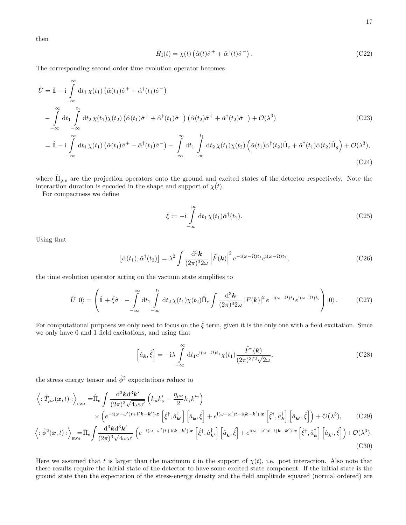then

$$
\hat{H}_{\rm I}(t) = \chi(t) \left( \hat{\alpha}(t) \hat{\sigma}^+ + \hat{\alpha}^\dagger(t) \hat{\sigma}^- \right). \tag{C22}
$$

The corresponding second order time evolution operator becomes

$$
\hat{U} = \hat{\mathbf{I}} - i \int_{-\infty}^{\infty} dt_1 \chi(t_1) \left( \hat{\alpha}(t_1) \hat{\sigma}^+ + \hat{\alpha}^\dagger(t_1) \hat{\sigma}^- \right)
$$
\n
$$
- \int_{-\infty}^{\infty} dt_1 \int_{-\infty}^{t_1} dt_2 \chi(t_1) \chi(t_2) \left( \hat{\alpha}(t_1) \hat{\sigma}^+ + \hat{\alpha}^\dagger(t_1) \hat{\sigma}^- \right) \left( \hat{\alpha}(t_2) \hat{\sigma}^+ + \hat{\alpha}^\dagger(t_2) \hat{\sigma}^- \right) + \mathcal{O}(\lambda^3)
$$
\n
$$
= \hat{\mathbf{I}} - i \int_{-\infty}^{\infty} dt_1 \chi(t_1) \left( \hat{\alpha}(t_1) \hat{\sigma}^+ + \hat{\alpha}^\dagger(t_1) \hat{\sigma}^- \right) - \int_{-\infty}^{\infty} dt_1 \int_{-\infty}^{t_1} dt_2 \chi(t_1) \chi(t_2) \left( \hat{\alpha}(t_1) \hat{\alpha}^\dagger(t_2) \hat{\Pi}_c + \hat{\alpha}^\dagger(t_1) \hat{\alpha}(t_2) \hat{\Pi}_c \right) + \mathcal{O}(\lambda^3).
$$
\n(C23)

$$
= \hat{\mathbb{1}} - i \int_{-\infty} dt_1 \chi(t_1) \left( \hat{\alpha}(t_1) \hat{\sigma}^+ + \hat{\alpha}^\dagger(t_1) \hat{\sigma}^- \right) - \int_{-\infty} dt_1 \int_{-\infty} dt_2 \chi(t_1) \chi(t_2) \left( \hat{\alpha}(t_1) \hat{\alpha}^\dagger(t_2) \hat{\Pi}_e + \hat{\alpha}^\dagger(t_1) \hat{\alpha}(t_2) \hat{\Pi}_g \right) + \mathcal{O}(\lambda^3), \tag{C24}
$$

where  $\hat{\Pi}_{g,e}$  are the projection operators onto the ground and excited states of the detector respectively. Note the interaction duration is encoded in the shape and support of  $\chi(t)$ .

For compactness we define

$$
\hat{\xi} := -i \int_{-\infty}^{\infty} dt_1 \, \chi(t_1) \hat{\alpha}^\dagger(t_1). \tag{C25}
$$

Using that

$$
\left[\hat{\alpha}(t_1),\hat{\alpha}^\dagger(t_2)\right] = \lambda^2 \int \frac{\mathrm{d}^3 \mathbf{k}}{(2\pi)^3 2\omega} \left|\tilde{F}(\mathbf{k})\right|^2 e^{-i(\omega-\Omega)t_1} e^{i(\omega-\Omega)t_2},\tag{C26}
$$

the time evolution operator acting on the vacuum state simplifies to

$$
\hat{U}|0\rangle = \left(\hat{\mathbb{1}} + \hat{\xi}\hat{\sigma}^- - \int_{-\infty}^{\infty} dt_1 \int_{-\infty}^{t_1} dt_2 \,\chi(t_1)\chi(t_2)\hat{\Pi}_e \int \frac{d^3\mathbf{k}}{(2\pi)^3 2\omega} |F(\mathbf{k})|^2 e^{-i(\omega-\Omega)t_1} e^{i(\omega-\Omega)t_2}\right)|0\rangle. \tag{C27}
$$

For computational purposes we only need to focus on the  $\hat{\xi}$  term, given it is the only one with a field excitation. Since we only have 0 and 1 field excitations, and using that

<span id="page-16-1"></span><span id="page-16-0"></span>
$$
\left[\hat{a}_{\mathbf{k}}, \hat{\xi}\right] = -i\lambda \int_{-\infty}^{\infty} dt_1 e^{i(\omega - \Omega)t_1} \chi(t_1) \frac{\tilde{F}^*(\mathbf{k})}{(2\pi)^{3/2} \sqrt{2\omega}},\tag{C28}
$$

the stress energy tensor and  $\hat{\phi}^2$  expectations reduce to

$$
\left\langle : \hat{T}_{\mu\nu}(\boldsymbol{x},t) : \right\rangle_{\text{RWA}} = \hat{\Pi}_e \int \frac{\mathrm{d}^3 \mathbf{k} \mathrm{d}^3 \mathbf{k}'}{(2\pi)^3 \sqrt{4\omega \omega'}} \left( k_{\mu} k_{\nu}^{\prime} - \frac{\eta_{\mu\nu}}{2} k_{\gamma} k^{\prime \gamma} \right) \times \left( e^{-i(\omega - \omega^{\prime})t + i(\mathbf{k} - \mathbf{k}^{\prime}) \cdot \boldsymbol{x}} \left[ \hat{\xi}^{\dagger}, \hat{a}^{\dagger}_{\mathbf{k}^{\prime}} \right] \left[ \hat{a}_{\mathbf{k}}, \hat{\xi} \right] + e^{i(\omega - \omega^{\prime})t - i(\mathbf{k} - \mathbf{k}^{\prime}) \cdot \boldsymbol{x}} \left[ \hat{\xi}^{\dagger}, \hat{a}^{\dagger}_{\mathbf{k}} \right] \left[ \hat{a}_{\mathbf{k}^{\prime}}, \hat{\xi} \right] \right) + \mathcal{O}(\lambda^3), \tag{C29}
$$

$$
\left\langle : \hat{\phi}^2(\mathbf{x}, t) : \right\rangle_{\text{RWA}} = \hat{\Pi}_e \int \frac{\mathrm{d}^3 \mathbf{k} \mathrm{d}^3 \mathbf{k}'}{(2\pi)^3 \sqrt{4\omega \omega'}} \left( e^{-i(\omega - \omega')t + i(\mathbf{k} - \mathbf{k}') \cdot \mathbf{x}} \left[ \hat{\xi}^\dagger, \hat{a}^\dagger_{\mathbf{k}'} \right] \left[ \hat{a}_{\mathbf{k}}, \hat{\xi} \right] + e^{i(\omega - \omega')t - i(\mathbf{k} - \mathbf{k}') \cdot \mathbf{x}} \left[ \hat{\xi}^\dagger, \hat{a}^\dagger_{\mathbf{k}} \right] \left[ \hat{a}_{\mathbf{k}'}, \hat{\xi} \right] \right) + \mathcal{O}(\lambda^3). \tag{C30}
$$

Here we assumed that t is larger than the maximum t in the support of  $\chi(t)$ , i.e. post interaction. Also note that these results require the initial state of the detector to have some excited state component. If the initial state is the ground state then the expectation of the stress-energy density and the field amplitude squared (normal ordered) are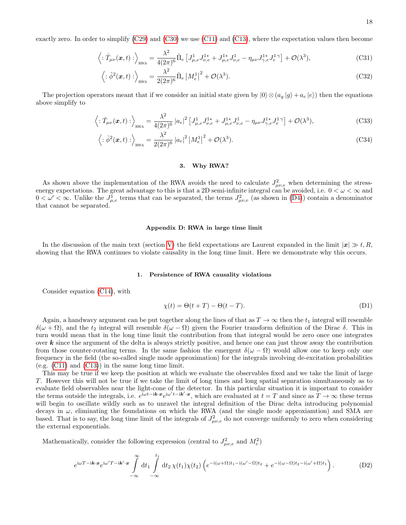$$
\left\langle : \hat{T}_{\mu\nu}(\boldsymbol{x},t) : \right\rangle_{\text{RWA}} = \frac{\lambda^2}{4(2\pi)^6} \hat{\Pi}_e \left[ J_{\mu,e}^1 J_{\nu,e}^{1*} + J_{\mu,e}^{1*} J_{\nu,e}^1 - \eta_{\mu\nu} J_{\gamma,e}^{1*} J_e^{1*} \right] + \mathcal{O}(\lambda^3), \tag{C31}
$$

$$
\left\langle : \hat{\phi}^2(\boldsymbol{x}, t) : \right\rangle_{\text{RWA}} = \frac{\lambda^2}{2(2\pi)^6} \hat{\Pi}_e \left| M_e^1 \right|^2 + \mathcal{O}(\lambda^3). \tag{C32}
$$

The projection operators meant that if we consider an initial state given by  $|0\rangle \otimes (a_q |g\rangle + a_e |e\rangle)$  then the equations above simplify to

$$
\left\langle : \hat{T}_{\mu\nu}(\boldsymbol{x},t) : \right\rangle_{\text{RWA}} = \frac{\lambda^2}{4(2\pi)^6} \left| a_e \right|^2 \left[ J_{\mu,e}^1 J_{\nu,e}^{1*} + J_{\mu,e}^{1*} J_{\nu,e}^1 - \eta_{\mu\nu} J_{\gamma,e}^{1*} J_e^{1*} \right] + \mathcal{O}(\lambda^3), \tag{C33}
$$

$$
\left\langle : \hat{\phi}^2(\mathbf{x}, t) : \right\rangle_{\text{RWA}} = \frac{\lambda^2}{2(2\pi)^6} |a_e|^2 |M_e^1|^2 + \mathcal{O}(\lambda^3). \tag{C34}
$$

### 3. Why RWA?

As shown above the implementation of the RWA avoids the need to calculate  $J_{\mu\nu,e}^2$  when determining the stressenergy expectations. The great advantage to this is that a 2D semi-infinite integral can be avoided, i.e.  $0 < \omega < \infty$  and  $0 < \omega' < \infty$ . Unlike the  $J_{\mu,e}^1$  terms that can be separated, the terms  $J_{\mu\nu,e}^2$  (as shown in [\(D4\)](#page-18-0)) contain a denominator that cannot be separated.

### <span id="page-17-0"></span>Appendix D: RWA in large time limit

In the discussion of the main text (section [V\)](#page-11-1) the field expectations are Laurent expanded in the limit  $|x| \gg t, R$ , showing that the RWA continues to violate causality in the long time limit. Here we demonstrate why this occurs.

### 1. Persistence of RWA causality violations

Consider equation [\(C14\)](#page-15-2), with

<span id="page-17-1"></span>
$$
\chi(t) = \Theta(t+T) - \Theta(t-T). \tag{D1}
$$

Again, a handwavy argument can be put together along the lines of that as  $T \to \infty$  then the  $t_1$  integral will resemble  $\delta(\omega + \Omega)$ , and the t<sub>2</sub> integral will resemble  $\delta(\omega - \Omega)$  given the Fourier transform definition of the Dirac  $\delta$ . This in turn would mean that in the long time limit the contribution from that integral would be zero once one integrates over  $k$  since the argument of the delta is always strictly positive, and hence one can just throw away the contribution from those counter-rotating terms. In the same fashion the emergent  $\delta(\omega - \Omega)$  would allow one to keep only one frequency in the field (the so-called single mode approximation) for the integrals involving de-excitation probabilities (e.g.  $(C11)$  and  $(C13)$ ) in the same long time limit.

This may be true if we keep the position at which we evaluate the observables fixed and we take the limit of large T. However this will not be true if we take the limit of long times and long spatial separation simultaneously as to evaluate field observables near the light-cone of the detector. In this particular situation it is important to consider the terms outside the integrals, i.e.  $e^{i\omega t - i\mathbf{k} \cdot \mathbf{x}}e^{i\omega' t - i\mathbf{k}' \cdot \mathbf{x}}$ , which are evaluated at  $t = T$  and since as  $T \to \infty$  these terms will begin to oscillate wildly such as to unravel the integral definition of the Dirac delta introducing polynomial decays in  $\omega$ , eliminating the foundations on which the RWA (and the single mode approxiamtion) and SMA are based. That is to say, the long time limit of the integrals of  $J_{\mu\nu,e}^2$  do not converge uniformly to zero when considering the external exponentials.

Mathematically, consider the following expression (central to  $J_{\mu\nu,e}^2$  and  $M_e^2$ )

$$
e^{i\omega T - i\mathbf{k}\cdot\mathbf{x}}e^{i\omega' T - i\mathbf{k}'\cdot\mathbf{x}}\int\limits_{-\infty}^{\infty} dt_1 \int\limits_{-\infty}^{t_1} dt_2 \,\chi(t_1)\chi(t_2) \left(e^{-i(\omega+\Omega)t_1 - i(\omega'-\Omega)t_2} + e^{-i(\omega-\Omega)t_2 - i(\omega'+\Omega)t_1}\right).
$$
 (D2)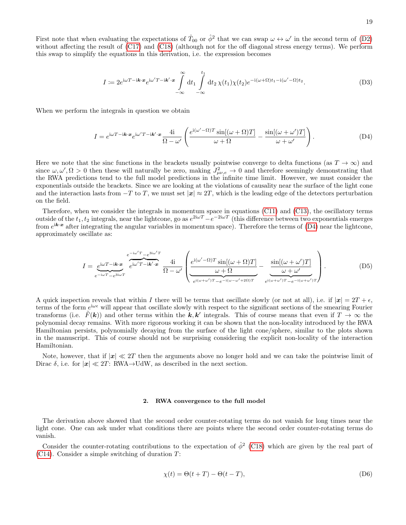First note that when evaluating the expectations of  $\hat{T}_{00}$  or  $\hat{\phi}^2$  that we can swap  $\omega \leftrightarrow \omega'$  in the second term of [\(D2\)](#page-17-1) without affecting the result of [\(C17\)](#page-15-3) and [\(C18\)](#page-15-4) (although not for the off diagonal stress energy terms). We perform this swap to simplify the equations in this derivation, i.e. the expression becomes

<span id="page-18-0"></span>
$$
I := 2e^{i\omega T - i\mathbf{k}\cdot\mathbf{x}}e^{i\omega' T - i\mathbf{k}'\cdot\mathbf{x}}\int_{-\infty}^{\infty} dt_1 \int_{-\infty}^{t_1} dt_2 \,\chi(t_1)\chi(t_2)e^{-i(\omega + \Omega)t_1 - i(\omega' - \Omega)t_2}.\tag{D3}
$$

When we perform the integrals in question we obtain

$$
I = e^{i\omega T - i\mathbf{k} \cdot \mathbf{x}} e^{i\omega' T - i\mathbf{k}' \cdot \mathbf{x}} \frac{4i}{\Omega - \omega'} \left( \frac{e^{i(\omega' - \Omega)T} \sin[(\omega + \Omega)T]}{\omega + \Omega} - \frac{\sin[(\omega + \omega')T]}{\omega + \omega'} \right).
$$
(D4)

Here we note that the sinc functions in the brackets usually pointwise converge to delta functions (as  $T \to \infty$ ) and since  $\omega, \omega', \Omega > 0$  then these will naturally be zero, making  $J_{\mu\nu,e}^2 \to 0$  and therefore seemingly demonstrating that the RWA predictions tend to the full model predictions in the infinite time limit. However, we must consider the exponentials outside the brackets. Since we are looking at the violations of causality near the surface of the light cone and the interaction lasts from  $-T$  to T, we must set  $|x| \approx 2T$ , which is the leading edge of the detectors perturbation on the field.

Therefore, when we consider the integrals in momentum space in equations [\(C11\)](#page-15-0) and [\(C13\)](#page-15-1), the oscillatory terms outside of the  $t_1, t_2$  integrals, near the lightcone, go as  $e^{2i\omega T} - e^{-2i\omega T}$  (this difference between two exponentials emerges from  $e^{i\mathbf{k}\cdot\mathbf{x}}$  after integrating the angular variables in momentum space). Therefore the terms of [\(D4\)](#page-18-0) near the lightcone, approximately oscillate as:

$$
I = \underbrace{e^{i\omega T - i\boldsymbol{k}\cdot\boldsymbol{x}}}_{e^{-i\omega T} - e^{3i\omega T}} \underbrace{e^{i\omega' T} - i\boldsymbol{k}'\cdot\boldsymbol{x}}_{e^{i\omega' T - i\boldsymbol{k}'\cdot\boldsymbol{x}}} \underbrace{4i}_{\Omega - \omega'} \left( \underbrace{e^{i(\omega' - \Omega)T} \sin[(\omega + \Omega)T]}_{e^{i(\omega + \omega')T} - e^{-i(\omega - \omega' + 2\Omega)T}} - \underbrace{\frac{\sin[(\omega + \omega')T]}{\omega + \omega'}}_{e^{i(\omega + \omega')T} - e^{-i(\omega + \omega')T}} \right). \tag{D5}
$$

A quick inspection reveals that within I there will be terms that oscillate slowly (or not at all), i.e. if  $|x| = 2T + \epsilon$ , terms of the form  $e^{i\omega\epsilon}$  will appear that oscillate slowly with respect to the significant sections of the smearing Fourier transforms (i.e.  $\tilde{F}(\mathbf{k})$ ) and other terms within the  $\mathbf{k}, \mathbf{k}'$  integrals. This of course means that even if  $T \to \infty$  the polynomial decay remains. With more rigorous working it can be shown that the non-locality introduced by the RWA Hamiltonian persists, polynomially decaying from the surface of the light cone/sphere, similar to the plots shown in the manuscript. This of course should not be surprising considering the explicit non-locality of the interaction Hamiltonian.

Note, however, that if  $|x| \ll 2T$  then the arguments above no longer hold and we can take the pointwise limit of Dirac  $\delta$ , i.e. for  $|x| \ll 2T$ : RWA→UdW, as described in the next section.

#### 2. RWA convergence to the full model

The derivation above showed that the second order counter-rotating terms do not vanish for long times near the light cone. One can ask under what conditions there are points where the second order counter-rotating terms do vanish.

Consider the counter-rotating contributions to the expectation of  $\hat{\phi}^2$  [\(C18\)](#page-15-4) which are given by the real part of  $(C14)$ . Consider a simple switching of duration  $T$ :

$$
\chi(t) = \Theta(t+T) - \Theta(t-T),\tag{D6}
$$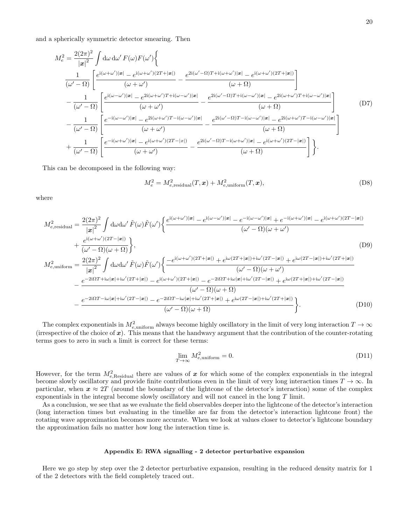and a spherically symmetric detector smearing. Then

$$
M_e^2 = \frac{2(2\pi)^2}{|\mathbf{x}|^2} \int d\omega \, d\omega' F(\omega) F(\omega') \left\{ \frac{1}{(\omega'-\Omega)} \left[ \frac{e^{i(\omega+\omega')|\mathbf{x}|} - e^{i(\omega+\omega')(2T+|\mathbf{x}|)}}{(\omega+\omega')} - \frac{e^{2i(\omega'-\Omega)T+i(\omega+\omega')|\mathbf{x}|} - e^{i(\omega+\omega')(2T+|\mathbf{x}|)}}{(\omega+\Omega)} \right] \right\}
$$
  

$$
- \frac{1}{(\omega'-\Omega)} \left[ \frac{e^{i(\omega-\omega')|\mathbf{x}|} - e^{2i(\omega+\omega')T+i(\omega-\omega')|\mathbf{x}|}}{(\omega+\omega')} - \frac{e^{2i(\omega'-\Omega)T+i(\omega-\omega')|\mathbf{x}|} - e^{2i(\omega+\omega')T+i(\omega-\omega')|\mathbf{x}|}}{(\omega+\Omega)} \right]
$$
  

$$
- \frac{1}{(\omega'-\Omega)} \left[ \frac{e^{-i(\omega-\omega')|\mathbf{x}|} - e^{2i(\omega+\omega')T-i(\omega-\omega')|\mathbf{x}|}}{(\omega+\omega')} - \frac{e^{2i(\omega'-\Omega)T-i(\omega-\omega')|\mathbf{x}|} - e^{2i(\omega+\omega')T-i(\omega-\omega')|\mathbf{x}|}}{(\omega+\Omega)} \right]
$$
  

$$
+ \frac{1}{(\omega'-\Omega)} \left[ \frac{e^{-i(\omega+\omega')|\mathbf{x}|} - e^{i(\omega+\omega')(2T-|\mathbf{x}|)}}{(\omega+\omega')} - \frac{e^{2i(\omega'-\Omega)T-i(\omega+\omega')|\mathbf{x}|} - e^{i(\omega+\omega')(2T-|\mathbf{x}|)}}{(\omega+\Omega)} \right] \right\}.
$$
  
(D7)

This can be decomposed in the following way:

$$
M_e^2 = M_{e,\text{residual}}^2(T, \boldsymbol{x}) + M_{e,\text{uniform}}^2(T, \boldsymbol{x}),\tag{D8}
$$

where

$$
M_{e,residual}^{2} = \frac{2(2\pi)^{2}}{\left|\mathbf{x}\right|^{2}} \int d\omega d\omega' \tilde{F}(\omega) \tilde{F}(\omega') \left\{ \frac{e^{i(\omega+\omega')|\mathbf{x}|} - e^{i(\omega-\omega')|\mathbf{x}|} - e^{-i(\omega-\omega')|\mathbf{x}|} + e^{-i(\omega+\omega')|\mathbf{x}|} - e^{i(\omega+\omega')(2T-|\mathbf{x}|)}}{(\omega'-\Omega)(\omega+\omega')} \right\}
$$
\n
$$
+ \frac{e^{i(\omega+\omega')(2T-|\mathbf{x}|)}}{(\omega'-\Omega)(\omega+\Omega)} \right\}, \tag{D9}
$$
\n
$$
M_{e,uniform}^{2} = \frac{2(2\pi)^{2}}{\left|\mathbf{x}\right|^{2}} \int d\omega d\omega' \tilde{F}(\omega) \tilde{F}(\omega') \left\{ \frac{-e^{i(\omega+\omega')(2T+|\mathbf{x}|)} + e^{i\omega(2T+|\mathbf{x}|)+i\omega'(2T-|\mathbf{x}|)} + e^{i\omega(2T-|\mathbf{x}|)+i\omega'(2T+|\mathbf{x}|)}}{(\omega'-\Omega)(\omega+\omega')} \right\}
$$
\n
$$
- \frac{e^{-2i\Omega T + i\omega|\mathbf{x}| + i\omega'(2T+|\mathbf{x}|)} - e^{i(\omega+\omega')(2T+|\mathbf{x}|)} - e^{-2i\Omega T + i\omega|\mathbf{x}| + i\omega'(2T-|\mathbf{x}|)} + e^{i\omega(2T+|\mathbf{x}|)+i\omega'(2T-|\mathbf{x}|)}}{(\omega'-\Omega)(\omega+\Omega)} \left\}
$$
\n
$$
- \frac{e^{-2i\Omega T - i\omega|\mathbf{x}| + i\omega'(2T-|\mathbf{x}|)} - e^{-2i\Omega T - i\omega|\mathbf{x}| + i\omega'(2T+|\mathbf{x}|)} + e^{i\omega(2T-|\mathbf{x}|)+i\omega'(2T+|\mathbf{x}|)}}{(\omega'-\Omega)(\omega+\Omega)} \right\}.
$$
\n(D10)

The complex exponentials in  $M_{e,\text{uniform}}^2$  always become highly oscillatory in the limit of very long interaction  $T \to \infty$ (irrespective of the choice of  $x$ ). This means that the handwavy argument that the contribution of the counter-rotating terms goes to zero in such a limit is correct for these terms:

$$
\lim_{T \to \infty} M_{e,\text{uniform}}^2 = 0. \tag{D11}
$$

However, for the term  $M_{e,\text{Residual}}^2$  there are values of x for which some of the complex exponentials in the integral become slowly oscillatory and provide finite contributions even in the limit of very long interaction times  $T \to \infty$ . In particular, when  $x \approx 2T$  (around the boundary of the lightcone of the detector's interaction) some of the complex exponentials in the integral become slowly oscillatory and will not cancel in the long T limit.

As a conclusion, we see that as we evaluate the field observables deeper into the lightcone of the detector's interaction (long interaction times but evaluating in the timelike are far from the detector's interaction lightcone front) the rotating wave approximation becomes more accurate. When we look at values closer to detector's lightcone boundary the approximation fails no matter how long the interaction time is.

# Appendix E: RWA signalling - 2 detector perturbative expansion

Here we go step by step over the 2 detector perturbative expansion, resulting in the reduced density matrix for 1 of the 2 detectors with the field completely traced out.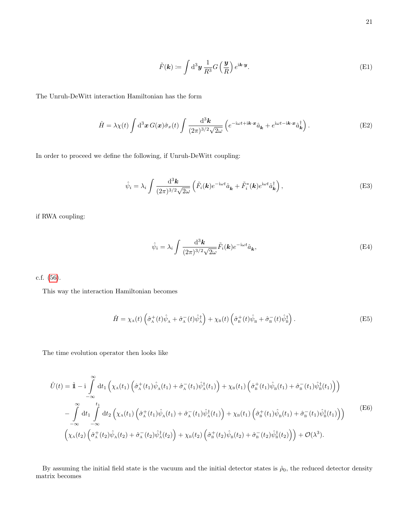$$
\tilde{F}(\mathbf{k}) \coloneqq \int \mathrm{d}^3 \mathbf{y} \, \frac{1}{R^3} G\left(\frac{\mathbf{y}}{R}\right) e^{i\mathbf{k} \cdot \mathbf{y}}.\tag{E1}
$$

The Unruh-DeWitt interaction Hamiltonian has the form

$$
\hat{H} = \lambda \chi(t) \int d^3x \, G(x) \hat{\sigma}_x(t) \int \frac{d^3k}{(2\pi)^{3/2} \sqrt{2\omega}} \left( e^{-i\omega t + i\mathbf{k} \cdot \mathbf{x}} \hat{a}_{\mathbf{k}} + e^{i\omega t - i\mathbf{k} \cdot \mathbf{x}} \hat{a}_{\mathbf{k}}^{\dagger} \right).
$$
(E2)

In order to proceed we define the following, if Unruh-DeWitt coupling:

$$
\hat{\psi}_i = \lambda_i \int \frac{\mathrm{d}^3 \mathbf{k}}{(2\pi)^{3/2} \sqrt{2\omega}} \left( \tilde{F}_i(\mathbf{k}) e^{-i\omega t} \hat{a}_{\mathbf{k}} + \tilde{F}_i^*(\mathbf{k}) e^{i\omega t} \hat{a}_{\mathbf{k}}^\dagger \right), \tag{E3}
$$

if RWA coupling:

$$
\hat{\psi}_i = \lambda_i \int \frac{\mathrm{d}^3 \mathbf{k}}{(2\pi)^{3/2} \sqrt{2\omega}} \tilde{F}_i(\mathbf{k}) e^{-i\omega t} \hat{a}_{\mathbf{k}},\tag{E4}
$$

c.f. [\(56\)](#page-9-0).

This way the interaction Hamiltonian becomes

$$
\hat{H} = \chi_{\rm A}(t) \left( \hat{\sigma}_{\rm A}^+(t) \hat{\psi}_{\rm A} + \hat{\sigma}_{\rm A}^-(t) \hat{\psi}_{\rm A}^\dagger \right) + \chi_{\rm B}(t) \left( \hat{\sigma}_{\rm B}^+(t) \hat{\psi}_{\rm B} + \hat{\sigma}_{\rm B}^-(t) \hat{\psi}_{\rm B}^\dagger \right). \tag{E5}
$$

The time evolution operator then looks like

$$
\hat{U}(t) = \hat{\mathbb{I}} - i \int_{-\infty}^{\infty} dt_1 \left( \chi_A(t_1) \left( \hat{\sigma}_A^+(t_1) \hat{\psi}_A(t_1) + \hat{\sigma}_A^-(t_1) \hat{\psi}_A^{\dagger}(t_1) \right) + \chi_B(t_1) \left( \hat{\sigma}_B^+(t_1) \hat{\psi}_B(t_1) + \hat{\sigma}_B^-(t_1) \hat{\psi}_B^{\dagger}(t_1) \right) \right) \n- \int_{-\infty}^{\infty} dt_1 \int_{-\infty}^{t_1} dt_2 \left( \chi_A(t_1) \left( \hat{\sigma}_A^+(t_1) \hat{\psi}_A(t_1) + \hat{\sigma}_A^-(t_1) \hat{\psi}_A^{\dagger}(t_1) \right) + \chi_B(t_1) \left( \hat{\sigma}_B^+(t_1) \hat{\psi}_B(t_1) + \hat{\sigma}_B^-(t_1) \hat{\psi}_B^{\dagger}(t_1) \right) \right)
$$
\n
$$
\left( \chi_A(t_2) \left( \hat{\sigma}_A^+(t_2) \hat{\psi}_A(t_2) + \hat{\sigma}_A^-(t_2) \hat{\psi}_A^{\dagger}(t_2) \right) + \chi_B(t_2) \left( \hat{\sigma}_B^+(t_2) \hat{\psi}_B(t_2) + \hat{\sigma}_B^-(t_2) \hat{\psi}_B^{\dagger}(t_2) \right) \right) + \mathcal{O}(\lambda^3).
$$
\n(B)

By assuming the initial field state is the vacuum and the initial detector states is  $\hat{\rho}_0$ , the reduced detector density matrix becomes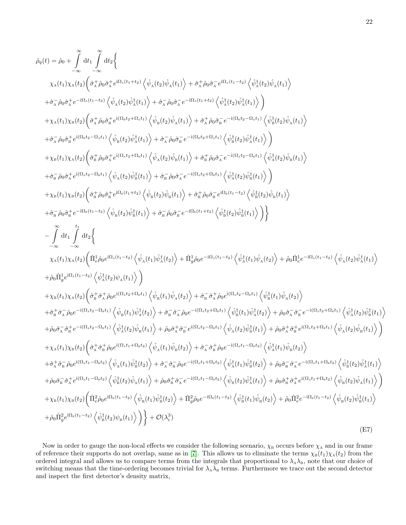$$
\hat{\rho}_{0}(t) = \hat{\rho}_{0} + \int_{-\infty}^{\infty} dt_{1} \int_{-\infty}^{\infty} dt_{2} \Big\{ \chi_{\lambda}(t_{1}) \chi_{\lambda}(t_{2}) \Big( \hat{\sigma}_{\lambda}^{\pm} \hat{\rho}_{0} \hat{\sigma}_{\lambda} e^{i\Omega_{\lambda}(t_{1} + t_{2})} \Big\langle \hat{\psi}_{\lambda}(t_{2}) \hat{\psi}_{\lambda}(t_{1}) \Big\rangle + \hat{\sigma}_{\lambda}^{\pm} \hat{\rho}_{0} \hat{\sigma}_{\lambda}^{\pm} e^{-i\Omega_{\lambda}(t_{1} + t_{2})} \Big\langle \hat{\psi}_{\lambda}(t_{2}) \hat{\psi}_{\lambda}(t_{1}) \Big\rangle \Big\} + \hat{\sigma}_{\lambda}^{\pm} \hat{\rho}_{0} \hat{\sigma}_{\lambda}^{\pm} e^{-i\Omega_{\lambda}(t_{1} + t_{2})} \Big\langle \hat{\psi}_{\lambda}(t_{2}) \hat{\psi}_{\lambda}(t_{1}) \Big\rangle \Big\} + \hat{\sigma}_{\lambda}^{\pm} \hat{\rho}_{0} \hat{\sigma}_{\lambda}^{\pm} e^{-i\Omega_{\lambda}(t_{1} + t_{2})} \Big\langle \hat{\psi}_{\lambda}(t_{2}) \hat{\psi}_{\lambda}(t_{1}) \Big\rangle \Big\} + \hat{\sigma}_{\lambda}^{\pm} \hat{\rho}_{0} \hat{\sigma}_{\lambda}^{\pm} e^{-i\Omega_{\lambda}(t_{1} + t_{2})} \Big\langle \hat{\psi}_{\lambda}(t_{2}) \hat{\psi}_{\lambda}(t_{1}) \Big\rangle \Big\} + \hat{\sigma}_{\lambda}^{\pm} \hat{\rho}_{0} \hat{\sigma}_{\lambda}^{\pm} e^{-i(\Omega_{\lambda} t_{2} + \Omega_{\lambda} t_{1})} \Big\langle \hat{\psi}_{\lambda}(t_{2}) \hat{\psi}_{\lambda}(t_{1}) \Big\rangle \Big\}
$$
  
+  $\chi_{\lambda}(t_{1}) \chi_{\lambda}(t_{2}) \Big\langle \hat{\sigma}_{\lambda}^{\pm} \hat{\rho}_{0} \hat{\sigma}_{\lambda}^{\pm} e^{i(\Omega_{\lambda} t_{2} + \Omega_{\lambda} t_{1})} \Big\langle \hat{\psi}_{\lambda}(t_{2}) \hat{\psi}_{\lambda}(t_{1}) \Big\rangle + \hat{\sigma}_{\lambda}^{\pm} \hat{\rho}_{0} \hat{\sigma}_{\lambda}^{\pm} e^{-i(\Omega_{\lambda} t_{2} +$ 

Now in order to gauge the non-local effects we consider the following scenario,  $\chi_B$  occurs before  $\chi_A$  and in our frame of reference their supports do not overlap, same as in [\[7\]](#page-22-6). This allows us to eliminate the terms  $\chi_B(t_1)\chi_A(t_2)$  from the ordered integral and allows us to compare terms from the integrals that proportional to  $\lambda_A\lambda_B$ , note that our choice of switching means that the time-ordering becomes trivial for  $\lambda_A\lambda_B$  terms. Furthermore we trace out the second detector and inspect the first detector's density matrix,